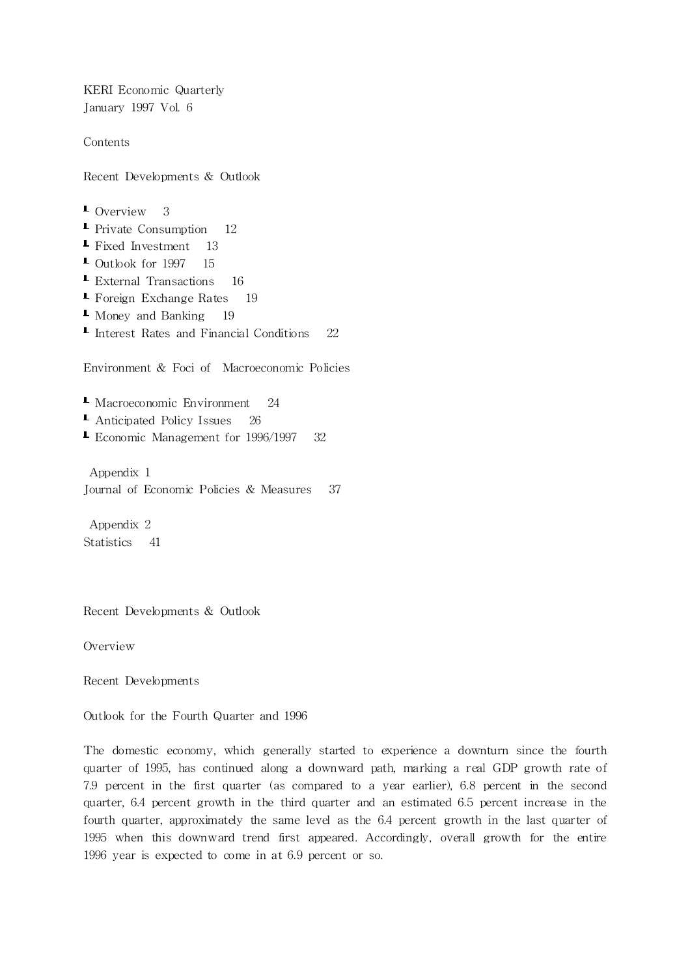KERI Economic Quarterly January 1997 Vol. 6

Contents

Recent Developments & Outlook

**L** Overview 3 **- Private Consumption** 12 Fixed Investment 13  $\blacksquare$  Outlook for 1997 15 External Transactions 16  $\blacktriangle$  Foreign Exchange Rates 19 Money and Banking 19 **I** Interest Rates and Financial Conditions 22 Environment & Foci of Macroeconomic Policies **L** Macroeconomic Environment 24 ■ Anticipated Policy Issues 26 **Exercise Economic Management for 1996/1997** 32

Appendix 1 Journal of Economic Policies & Measures 37

Appendix 2 Statistics 41

Recent Developments & Outlook

Overview

Recent Developments

Outlook for the Fourth Quarter and 1996

The domestic economy, which generally started to experience a downturn since the fourth quarter of 1995, has continued along a downward path, marking a real GDP growth rate of 7.9 percent in the first quarter (as compared to a year earlier), 6.8 percent in the second quarter, 6.4 percent growth in the third quarter and an estimated 6.5 percent increase in the fourth quarter, approximately the same level as the  $6.4$  percent growth in the last quarter of 1995 when this downward trend first appeared. Accordingly, overall growth for the entire 1996 year is expected to come in at  $6.9$  percent or so.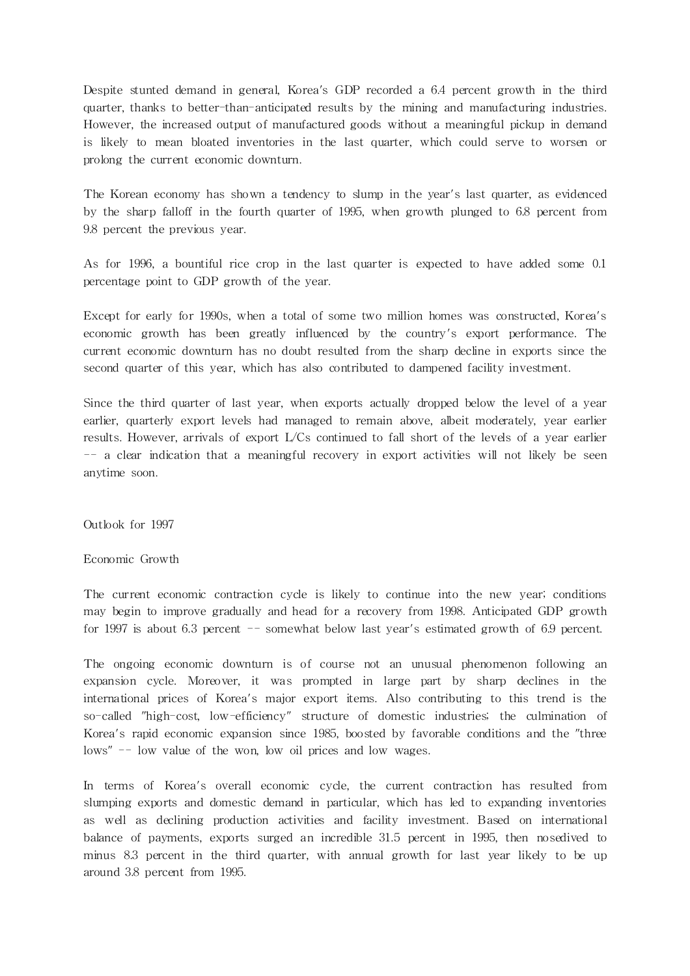Despite stunted demand in general, Korea's GDP recorded a 6.4 percent growth in the third quarter, thanks to better-than-anticipated results by the mining and manufacturing industries. However, the increased output of manufactured goods without a meaningful pickup in demand is likely to mean bloated inventories in the last quarter, which could serve to worsen or prolong the current economic downturn.

The Korean economy has shown a tendency to slump in the year's last quarter, as evidenced by the sharp falloff in the fourth quarter of 1995, when growth plunged to 6.8 percent from 9.8 percent the previous year.

As for 1996, a bountiful rice crop in the last quarter is expected to have added some 0.1 percentage point to GDP growth of the year.

Except for early for 1990s, when a total of some two million homes was constructed, Korea's economic growth has been greatly influenced by the country's export performance. The current economic downturn has no doubt resulted from the sharp decline in exports since the second quarter of this year, which has also contributed to dampened facility investment.

Since the third quarter of last year, when exports actually dropped below the level of a year earlier, quarterly export levels had managed to remain above, albeit moderately, year earlier results. However, arrivals of export L/Cs continued to fall short of the levels of a year earlier -- a clear indication that a meaningful recovery in export activities will not likely be seen anytime soon.

Outlook for 1997

Economic Growth

The current economic contraction cycle is likely to continue into the new year; conditions may begin to improve gradually and head for a recovery from 1998. Anticipated GDP growth for 1997 is about 6.3 percent -- somewhat below last year's estimated growth of 6.9 percent.

The ongoing economic downturn is of course not an unusual phenomenon following an expansion cycle. Moreover, it was prompted in large part by sharp declines in the interna tional prices of Korea's major export items. Also contributing to this trend is the so-called "high-cost, low-efficiency" structure of domestic industries; the culmination of Korea's rapid economic expansion since 1985, boosted by favorable conditions and the "three lows" -- low value of the won, low oil prices and low wages.

In terms of Korea's overall economic cycle, the current contraction has resulted from slumping exports and domestic demand in particular, which has led to expanding inventories as well as declining production activities and facility investment. Based on international balance of payments, exports surged an incredible 31.5 percent in 1995, then nosedived to minus 8.3 percent in the third quarter, with annual growth for last year likely to be up around 3.8 percent from 1995.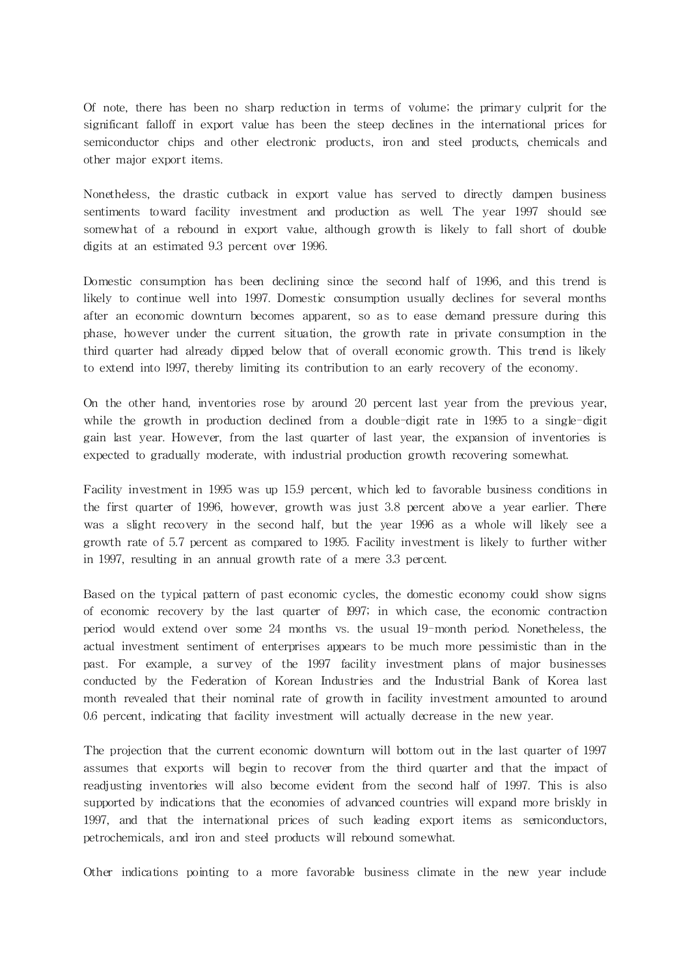Of note, there has been no sharp reduction in terms of volume; the primary culprit for the significant falloff in export value has been the steep declines in the international prices for semiconductor chips and other electronic products, iron and steel products, chemicals and other major export items.

Nonetheless, the drastic cutback in export value has served to directly dampen business sentiments toward facility investment and production as well. The year 1997 should see somewhat of a rebound in export value, although growth is likely to fall short of double digits at an estimated 9.3 percent over 1996.

Domestic consumption has been declining since the second half of 1996, and this trend is likely to continue well into 1997. Domestic consumption usually declines for several months after an economic downturn becomes apparent, so as to ease demand pressure during this phase, however under the current situation, the growth rate in private consumption in the third quarter had already dipped below that of overall economic growth. This trend is likely to extend into l997, thereby limiting its contribution to an early recovery of the economy.

On the other hand, inventories rose by around 20 percent last year from the previous year, while the growth in production declined from a double-digit rate in 1995 to a single-digit gain last year. However, from the last quarter of last year, the expansion of inventories is expected to gradually moderate, with industrial production growth recovering somewhat.

Facility investment in 1995 was up 15.9 percent, which led to favorable business conditions in the first quarter of 1996, however, growth was just 3.8 percent above a year earlier. There was a slight recovery in the second half, but the year 1996 as a whole will likely see a growth rate of 5.7 percent as compared to 1995. Facility investment is likely to further wither in 1997, resulting in an annual growth rate of a mere 3.3 percent.

Based on the typical pattern of past economic cycles, the domestic economy could show signs of economic recovery by the last quarter of l997; in which case, the economic contraction period would extend over some 24 months vs. the usual 19-month period. Nonetheless, the actual investment sentiment of enterprises appears to be much more pessimistic than in the past. For example, a survey of the 1997 facility investment plans of major businesses conducted by the Federation of Korean Industries and the Industrial Bank of Korea last month revealed that their nominal rate of growth in facility investment amounted to around 0.6 percent, indicating that facility investment will actually decrease in the new year.

The projection that the current economic downturn will bottom out in the last quarter of 1997 assumes that exports will begin to recover from the third quarter and that the impact of readjusting inventories will also become evident from the second half of 1997. This is also supported by indications that the economies of advanced countries will expand more briskly in 1997, and that the international prices of such leading export items as semiconductors, petrochemicals, and iron and steel products will rebound somewhat.

Other indica tions pointing to a more favorable business climate in the new year include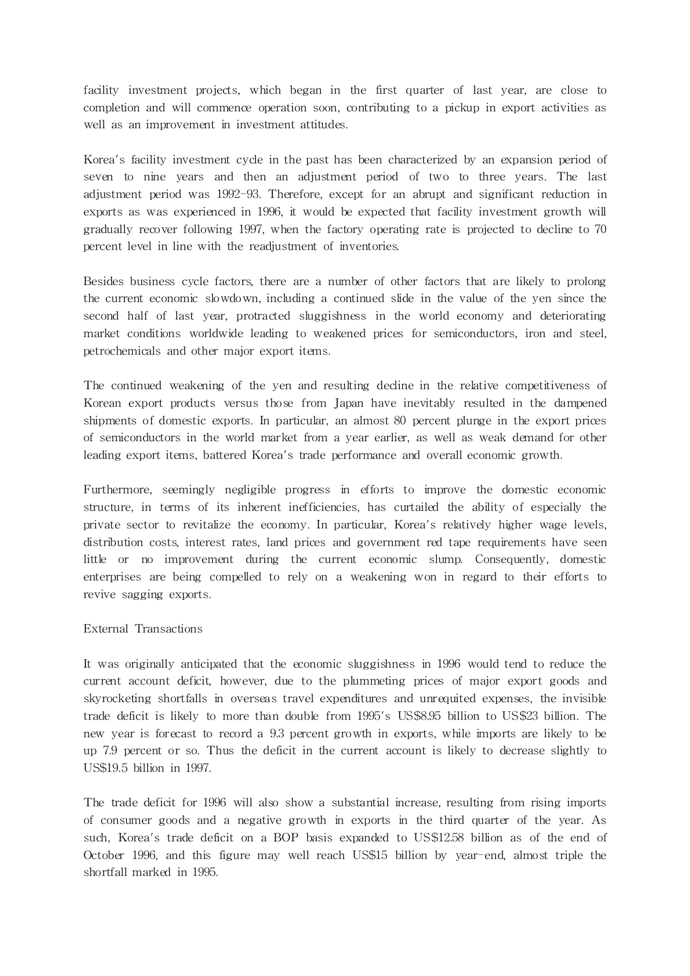facility investment projects, which began in the first quarter of last year, are close to completion and will commence operation soon, contributing to a pickup in export activities as well as an improvement in investment attitudes.

Korea's facility investment cycle in the past has been characterized by an expansion period of seven to nine years and then an adjustment period of two to three years. The last adjustment period was 1992-93. Therefore, except for an abrupt and significant reduction in exports as was experienced in 1996, it would be expected that facility investment growth will gradually recover following 1997, when the factory operating rate is projected to decline to 70 percent level in line with the readjustment of inventories.

Besides business cycle factors, there are a number of other factors that are likely to prolong the current economic slowdown, including a continued slide in the value of the yen since the second half of last year, protracted sluggishness in the world economy and deteriorating market conditions worldwide leading to weakened prices for semiconductors, iron and steel, petrochemicals and other major export items.

The continued weakening of the yen and resulting decline in the relative competitiveness of Korean export products versus those from Japan have inevitably resulted in the dampened shipments of domestic exports. In particular, an almost 80 percent plunge in the export prices of semiconductors in the world market from a year earlier, as well as weak demand for other leading export items, battered Korea's trade performance and overall economic growth.

Furthermore, seemingly negligible progress in efforts to improve the domestic economic structure, in terms of its inherent inefficiencies, has curtailed the ability of especially the private sector to revitalize the economy. In particular, Korea's relatively higher wage levels, distribution costs, interest rates, land prices and government red tape requirements have seen little or no improvement during the current economic slump. Consequently, domestic enterprises are being compelled to rely on a weakening won in regard to their efforts to revive sagging exports.

# External Transactions

It was originally anticipated that the economic sluggishness in 1996 would tend to reduce the current account deficit, however, due to the plummeting prices of major export goods and skyrocketing shortfalls in overseas travel expenditures and unrequited expenses, the invisible trade deficit is likely to more than double from 1995's US\$8.95 billion to US\$23 billion. The new year is forecast to record a 9.3 percent growth in exports, while imports are likely to be up 7.9 percent or so. Thus the deficit in the current account is likely to decrease slightly to US\$19.5 billion in 1997.

The trade deficit for 1996 will also show a substantial increase, resulting from rising imports of consumer goods and a negative growth in exports in the third quarter of the year. As such, Korea's trade deficit on a BOP basis expanded to US\$12.58 billion as of the end of October 1996, and this figure may well reach US\$15 billion by year-end, almost triple the shortfall marked in 1995.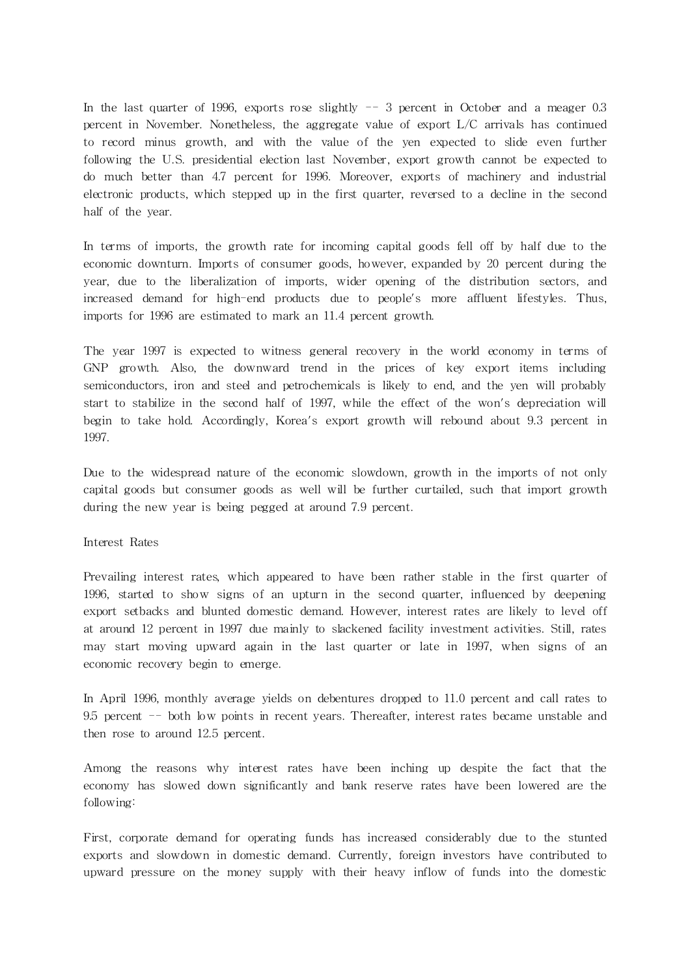In the last quarter of 1996, exports rose slightly  $-5$  percent in October and a meager 0.3 percent in November. Nonetheless, the aggregate value of export L/C arrivals has continued to record minus growth, and with the value of the yen expected to slide even further following the U.S. presidential election last November, export growth cannot be expected to do much better than 4.7 percent for 1996. Moreover, exports of machinery and industrial electronic products, which stepped up in the first quarter, reversed to a decline in the second half of the year.

In terms of imports, the growth rate for incoming capital goods fell off by half due to the economic downturn. Imports of consumer goods, however, expanded by 20 percent during the year, due to the liberalization of imports, wider opening of the distribution sectors, and increased demand for high-end products due to people's more affluent lifestyles. Thus, imports for 1996 are estimated to mark an 11.4 percent growth.

The year 1997 is expected to witness general recovery in the world economy in terms of GNP growth. Also, the downward trend in the prices of key export items including semiconductors, iron and steel and petrochemicals is likely to end, and the yen will probably start to stabilize in the second half of 1997, while the effect of the won's depreciation will begin to take hold. Accordingly, Korea's export growth will rebound about 9.3 percent in 1997.

Due to the widespread nature of the economic slowdown, growth in the imports of not only capital goods but consumer goods as well will be further cur tailed, such that import growth during the new year is being pegged at around 7.9 percent.

#### Interest Rates

Prevailing interest rates, which appeared to have been rather stable in the first quarter of 1996, started to show signs of an upturn in the second quarter, influenced by deepening export setbacks and blunted domestic demand. However, interest rates are likely to level off at around 12 percent in 1997 due mainly to slackened facility investment activities. Still, rates may start moving upward again in the last quarter or late in 1997, when signs of an economic recovery begin to emerge.

In April 1996, monthly average yields on debentures dropped to 11.0 percent and call rates to 9.5 percent -- both low points in recent years. Thereafter, interest rates became unstable and then rose to around 12.5 percent.

Among the reasons why interest rates have been inching up despite the fact that the economy has slowed down significantly and bank reserve rates have been lowered are the following:

First, corporate demand for operating funds has increased considerably due to the stunted exports and slowdown in domestic demand. Currently, foreign investors have contributed to upward pressure on the money supply with their heavy inflow of funds into the domestic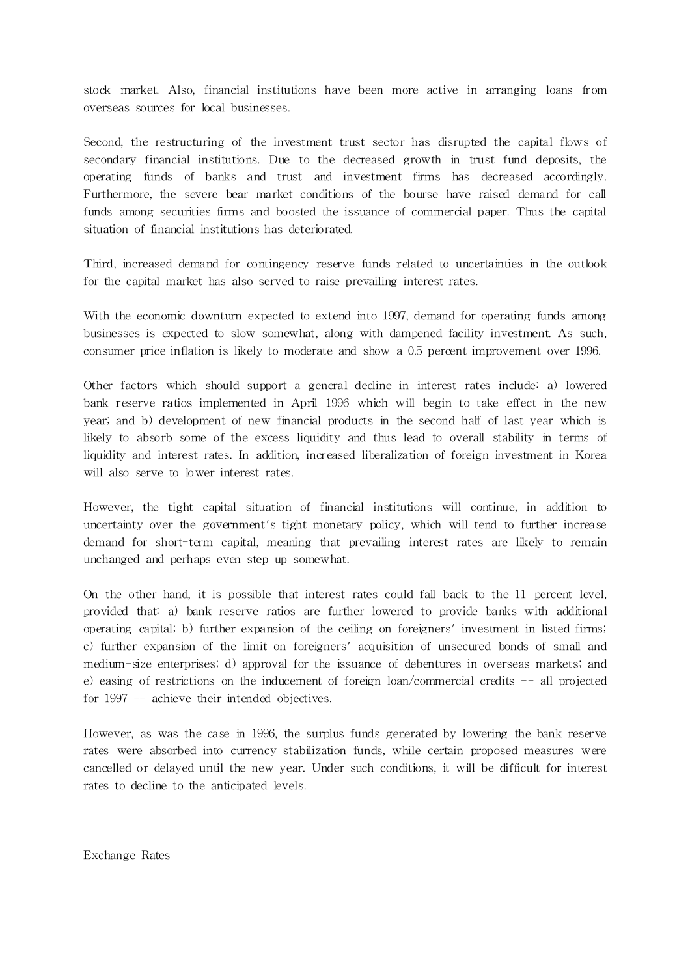stock market. Also, financial institutions have been more active in arranging loans from overseas sources for local businesses.

Second, the restructuring of the investment trust sector has disrupted the capital flows of secondary financial institutions. Due to the decreased growth in trust fund deposits, the operating funds of banks and trust and investment firms has decreased accordingly. Furthermore, the severe bear market conditions of the bourse have raised demand for call funds among securities firms and boosted the issuance of commercial paper. Thus the capital situation of financial institutions has deteriorated.

Third, increased demand for contingency reserve funds related to uncertainties in the outlook for the capital market has also served to raise prevailing interest rates.

With the economic downturn expected to extend into 1997, demand for operating funds among businesses is expected to slow somewhat, along with dampened facility investment. As such, consumer price inflation is likely to moderate and show a 0.5 percent improvement over 1996.

Other factors which should support a general decline in interest rates include: a) lowered bank reserve ra tios implemented in April 1996 which will begin to take effect in the new year; and b) development of new financial products in the second half of last year which is likely to absorb some of the excess liquidity and thus lead to overall stability in terms of liquidity and interest rates. In addition, increased liberalization of foreign investment in Korea will also serve to lower interest rates.

However, the tight capital situation of financial institutions will continue, in addition to uncertainty over the government's tight monetary policy, which will tend to further increase demand for short-term capital, meaning that prevailing interest rates are likely to remain unchanged and perhaps even step up somewhat.

On the other hand, it is possible that interest rates could fall back to the 11 percent level, provided that: a) bank reserve ratios are further lowered to provide banks with additional operating capital; b) further expansion of the ceiling on foreigners' investment in listed firms; c) further expansion of the limit on foreigners' acquisition of unsecured bonds of small and medium-size enterprises; d) approval for the issuance of debentures in overseas markets; and e) easing of restrictions on the inducement of foreign loan/commercial credits  $-$ - all projected for 1997 -- achieve their intended objectives.

However, as was the case in 1996, the surplus funds generated by lowering the bank reserve rates were absorbed into currency stabilization funds, while certain proposed measures were cancelled or delayed until the new year. Under such conditions, it will be difficult for interest rates to decline to the anticipated levels.

Exchange Rates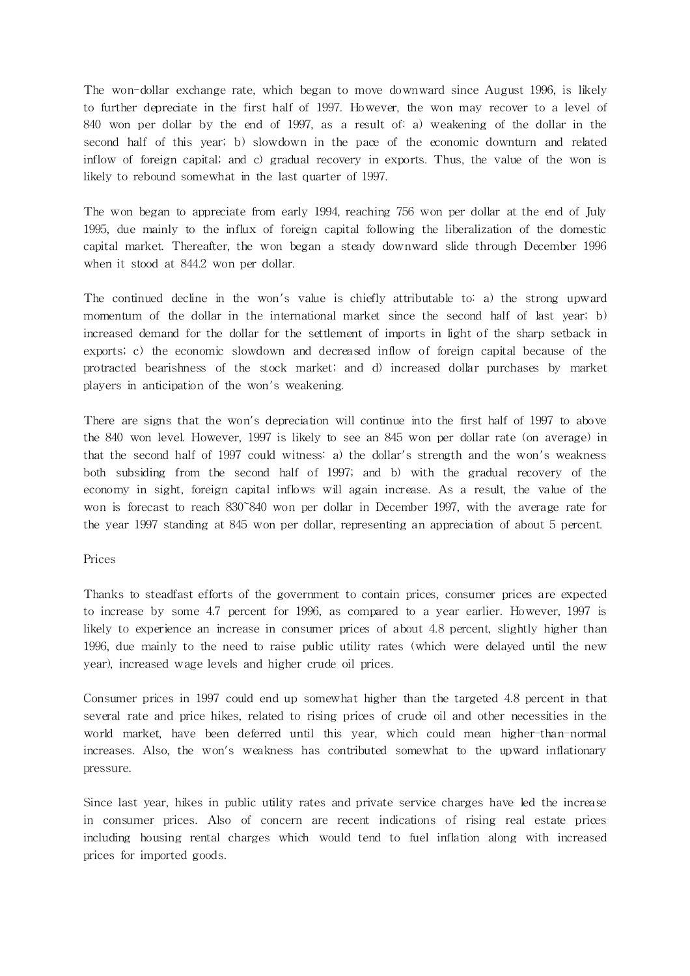The won-dollar exchange rate, which began to move downward since August 1996, is likely to further depreciate in the first half of 1997. However, the won may recover to a level of 840 won per dollar by the end of 1997, as a result of: a) weakening of the dollar in the second half of this year; b) slowdown in the pace of the economic downturn and related inflow of foreign capital; and c) gradual recovery in exports. Thus, the value of the won is likely to rebound somewhat in the last quarter of 1997.

The won began to appreciate from early 1994, reaching 756 won per dollar at the end of July 1995, due mainly to the influx of foreign capital following the liberalization of the domestic capital market. Thereafter, the won began a steady downward slide through December 1996 when it stood at 844.2 won per dollar.

The continued decline in the won's value is chiefly attributable to: a) the strong upward momentum of the dollar in the international market since the second half of last year; b) increased demand for the dollar for the settlement of imports in light of the sharp setback in exports; c) the economic slowdown and decreased inflow of foreign capital because of the protracted bearishness of the stock market; and d) increased dollar purchases by market players in anticipation of the won's weakening.

There are signs that the won's depreciation will continue into the first half of 1997 to above the 840 won level. However, 1997 is likely to see an 845 won per dollar rate (on average) in that the second half of 1997 could witness: a) the dollar's strength and the won's weakness both subsiding from the second half of 1997; and b) with the gradual recovery of the economy in sight, foreign capital inflows will again increase. As a result, the value of the won is forecast to reach 830~840 won per dollar in December 1997, with the average rate for the year 1997 standing at 845 won per dollar, representing an appreciation of about 5 percent.

# Prices

Thanks to steadfast efforts of the government to contain prices, consumer prices are expected to increase by some 4.7 percent for 1996, as compared to a year earlier. However, 1997 is likely to experience an increase in consumer prices of about 4.8 percent, slightly higher than 1996, due mainly to the need to raise public utility rates (which were delayed until the new year), increased wage levels and higher crude oil prices.

Consumer prices in 1997 could end up somewhat higher than the targeted 4.8 percent in that several rate and price hikes, related to rising prices of crude oil and other necessities in the world market, have been deferred until this year, which could mean higher-than-normal increases. Also, the won's weakness has contributed somewhat to the upward inflationary pressure.

Since last year, hikes in public utility rates and private service charges have led the increase in consumer prices. Also of concern are recent indications of rising real estate prices including housing rental charges which would tend to fuel inflation along with increased prices for imported goods.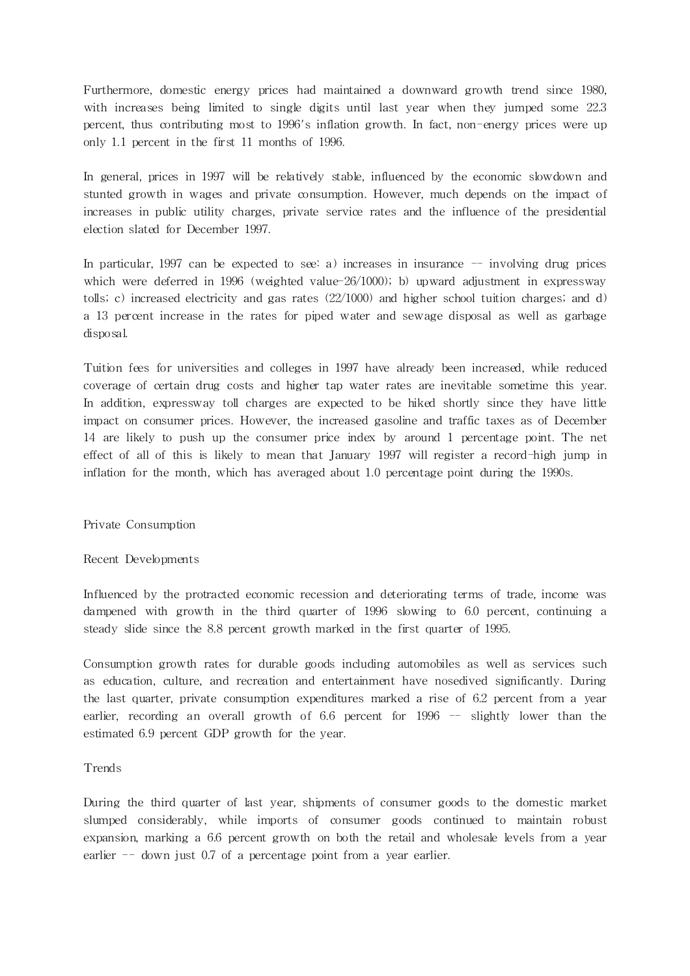Furthermore, domestic energy prices had maintained a downward growth trend since 1980, with increases being limited to single digits until last year when they jumped some 22.3 percent, thus contributing most to 1996's inflation growth. In fact, non-energy prices were up only 1.1 percent in the first 11 months of 1996.

In general, prices in 1997 will be relatively stable, influenced by the economic slowdown and stunted growth in wages and private consumption. However, much depends on the impact of increases in public utility charges, private service rates and the influence of the presidential election slated for December 1997.

In particular, 1997 can be expected to see: a) increases in insurance  $-$  involving drug prices which were deferred in 1996 (weighted value-26/1000); b) upward adjustment in expressway tolls; c) increased electricity and gas rates (22/1000) and higher school tuition charges; and d) a 13 percent increase in the rates for piped water and sewage disposal as well as garbage disposal.

Tuition fees for universities and colleges in 1997 have already been increased, while reduced coverage of certain drug costs and higher tap water rates are inevitable sometime this year. In addition, expressway toll charges are expected to be hiked shortly since they have little impact on consumer prices. However, the increased gasoline and traffic taxes as of December 14 are likely to push up the consumer price index by around 1 percentage point. The net effect of all of this is likely to mean that January 1997 will register a record-high jump in inflation for the month, which has averaged about 1.0 percentage point during the 1990s.

Private Consumption

Recent Developments

Influenced by the protracted economic recession and deteriorating terms of trade, income was dampened with growth in the third quarter of 1996 slowing to 6.0 percent, continuing a steady slide since the 8.8 percent growth marked in the first quarter of 1995.

Consumption growth rates for durable goods including automobiles as well as services such as education, culture, and recreation and entertainment have nosedived significantly. During the last quarter, private consumption expenditures marked a rise of 6.2 percent from a year earlier, recording an overall growth of 6.6 percent for 1996 -- slightly lower than the estimated 6.9 percent GDP growth for the year.

# **Trends**

During the third quarter of last year, shipments of consumer goods to the domestic market slumped considerably, while imports of consumer goods continued to maintain robust expansion, marking a 6.6 percent growth on both the retail and wholesale levels from a year earlier -- down just 0.7 of a percentage point from a year earlier.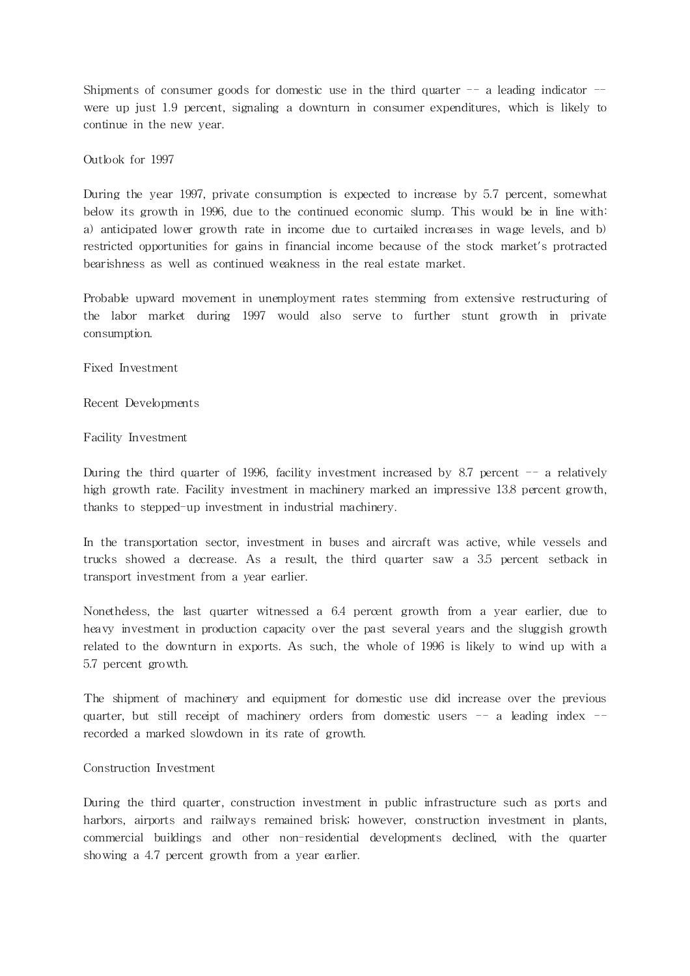Shipments of consumer goods for domestic use in the third quarter  $-$  a leading indicator  $$ were up just 1.9 percent, signaling a downturn in consumer expenditures, which is likely to continue in the new year.

Outlook for 1997

During the year 1997, private consumption is expected to increase by 5.7 percent, somewhat below its growth in 1996, due to the continued economic slump. This would be in line with: a) anticipated lower growth rate in income due to curtailed increases in wage levels, and b) restricted opportunities for gains in financial income because of the stock market's protracted bearishness as well as continued weakness in the real estate market.

Probable upward movement in unemployment rates stemming from extensive restructuring of the labor market during 1997 would also serve to further stunt growth in private consumption.

Fixed Investment

Recent Developments

Facility Investment

During the third quarter of 1996, facility investment increased by 8.7 percent  $-$  a relatively high growth rate. Facility investment in machinery marked an impressive 13.8 percent growth, thanks to stepped-up investment in industrial machinery.

In the transportation sector, investment in buses and aircraft was active, while vessels and trucks showed a decrease. As a result, the third quarter saw a 3.5 percent setback in transport investment from a year earlier.

Nonetheless, the last quarter witnessed a 6.4 percent growth from a year earlier, due to heavy investment in production capacity over the past several years and the sluggish growth related to the downturn in exports. As such, the whole of 1996 is likely to wind up with a 5.7 percent growth.

The shipment of machinery and equipment for domestic use did increase over the previous quarter, but still receipt of machinery orders from domestic users -- a leading index -recorded a marked slowdown in its rate of growth.

# Construction Investment

During the third quarter, construction investment in public infrastructure such as ports and harbors, airports and railways remained brisk; however, construction investment in plants, commercial buildings and other non-residential developments declined, with the quarter showing a 4.7 percent growth from a year earlier.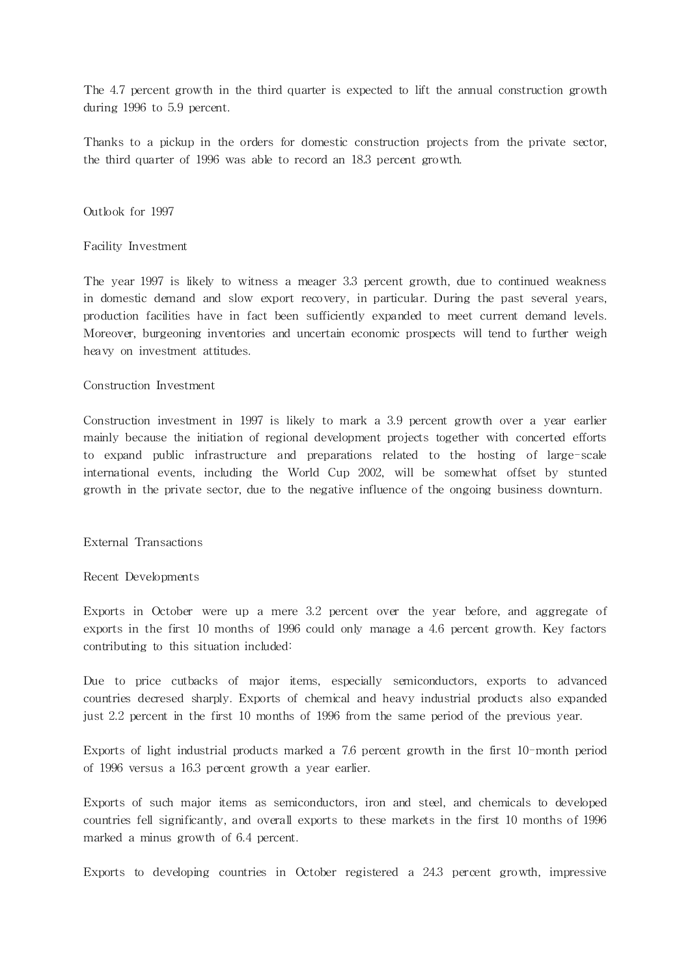The 4.7 percent growth in the third quarter is expected to lift the annual construction growth during 1996 to 5.9 percent.

Thanks to a pickup in the orders for domestic construction projects from the private sector, the third quarter of 1996 was able to record an 18.3 percent growth.

Outlook for 1997

Facility Investment

The year 1997 is likely to witness a meager 3.3 percent growth, due to continued weakness in domestic demand and slow export recovery, in particular. During the past several years, production facilities have in fact been sufficiently expanded to meet current demand levels. Moreover, burgeoning inventories and uncertain economic prospects will tend to further weigh heavy on investment attitudes.

## Construction Investment

Construction investment in 1997 is likely to mark a 3.9 percent growth over a year earlier mainly because the initiation of regional development projects together with concerted efforts to expand public infrastructure and preparations related to the hosting of large-scale interna tional events, including the World Cup 2002, will be somewhat offset by stunted growth in the private sector, due to the negative influence of the ongoing business downturn.

External Transactions

#### Recent Developments

Exports in October were up a mere 3.2 percent over the year before, and aggregate of exports in the first 10 months of 1996 could only manage a 4.6 percent growth. Key factors contributing to this situation included:

Due to price cutbacks of major items, especially semiconductors, exports to advanced countries decresed sharply. Exports of chemical and heavy industrial products also expanded just 2.2 percent in the first 10 months of 1996 from the same period of the previous year.

Exports of light industrial products marked a 7.6 percent growth in the first 10-month period of 1996 versus a 16.3 percent growth a year earlier.

Exports of such major items as semiconductors, iron and steel, and chemicals to developed countries fell significantly, and overall exports to these markets in the first 10 months of 1996 marked a minus growth of 6.4 percent.

Exports to developing countries in October registered a 24.3 percent growth, impressive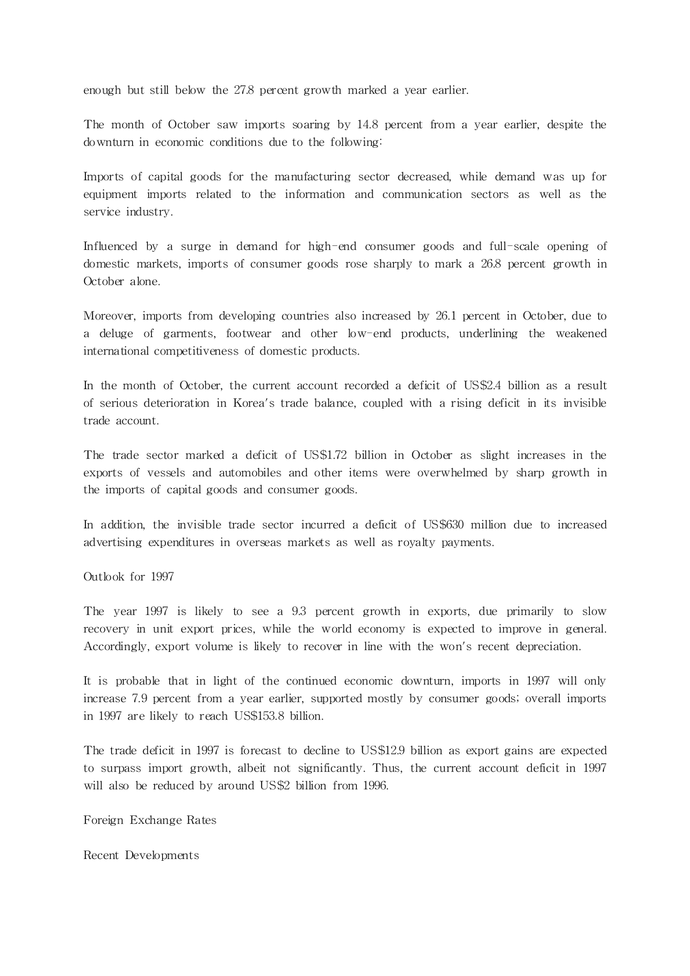enough but still below the 27.8 percent growth marked a year earlier.

The month of October saw imports soaring by 14.8 percent from a year earlier, despite the downturn in economic conditions due to the following:

Imports of capital goods for the manufacturing sector decreased, while demand was up for equipment imports related to the information and communication sectors as well as the service industry.

Influenced by a surge in demand for high-end consumer goods and full-scale opening of domestic markets, imports of consumer goods rose sharply to mark a 26.8 percent growth in October alone.

Moreover, imports from developing countries also increased by 26.1 percent in October, due to a deluge of garments, footwear and other low-end products, underlining the weakened interna tional competitiveness of domestic products.

In the month of October, the current account recorded a deficit of US\$2.4 billion as a result of serious deterioration in Korea's trade balance, coupled with a rising deficit in its invisible trade account.

The trade sector marked a deficit of US\$1.72 billion in October as slight increases in the exports of vessels and automobiles and other items were overwhelmed by sharp growth in the imports of capital goods and consumer goods.

In addition, the invisible trade sector incurred a deficit of US\$630 million due to increased advertising expenditures in overseas markets as well as royalty payments.

Outlook for 1997

The year 1997 is likely to see a 9.3 percent growth in exports, due primarily to slow recovery in unit export prices, while the world economy is expected to improve in general. Accordingly, export volume is likely to recover in line with the won's recent depreciation.

It is probable that in light of the continued economic downturn, imports in 1997 will only increase 7.9 percent from a year earlier, supported mostly by consumer goods; overall imports in 1997 are likely to reach US\$153.8 billion.

The trade deficit in 1997 is forecast to decline to US\$12.9 billion as export gains are expected to surpass import growth, albeit not significantly. Thus, the current account deficit in 1997 will also be reduced by around US\$2 billion from 1996.

Foreign Exchange Rates

Recent Developments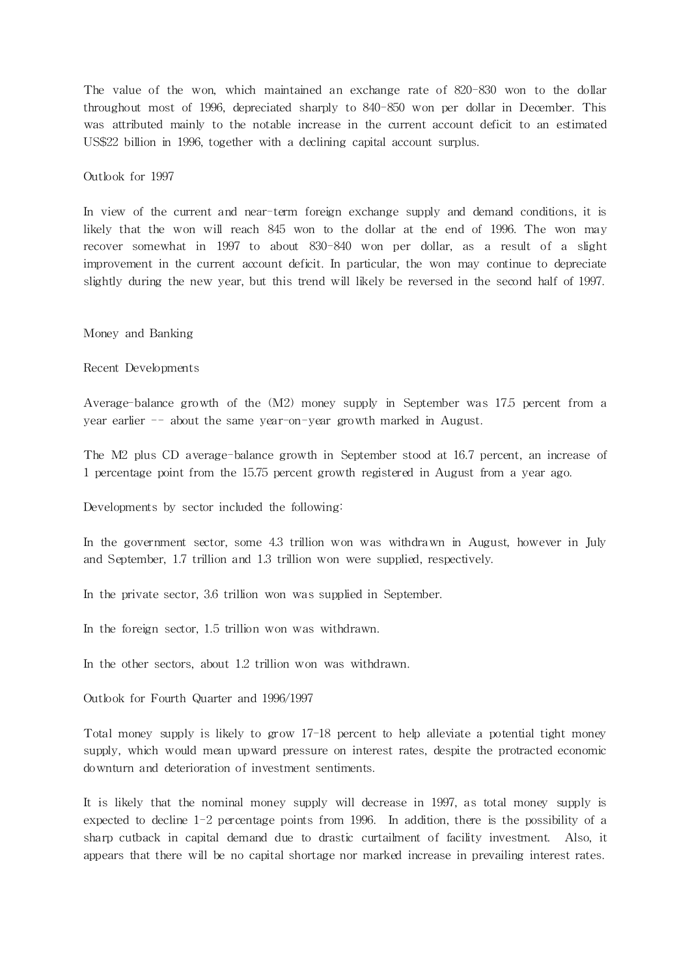The value of the won, which maintained an exchange rate of 820-830 won to the dollar throughout most of 1996, depreciated sharply to 840-850 won per dollar in December. This was attributed mainly to the notable increase in the current account deficit to an estimated US\$22 billion in 1996, together with a declining capital account surplus.

Outlook for 1997

In view of the current and near-term foreign exchange supply and demand conditions, it is likely that the won will reach 845 won to the dollar at the end of 1996. The won may recover somewhat in 1997 to about 830-840 won per dollar, as a result of a slight improvement in the current account deficit. In particular, the won may continue to depreciate slightly during the new year, but this trend will likely be reversed in the second half of 1997.

Money and Banking

Recent Developments

Average-balance growth of the (M2) money supply in September was 17.5 percent from a year earlier -- about the same year-on-year growth marked in August.

The M2 plus CD average-balance growth in September stood at 16.7 percent, an increase of 1 percentage point from the 15.75 percent growth registered in August from a year ago.

Developments by sector included the following:

In the government sector, some 4.3 trillion won was withdrawn in August, however in July and September, 1.7 trillion and 1.3 trillion won were supplied, respectively.

In the private sector, 3.6 trillion won was supplied in September.

In the foreign sector, 1.5 trillion won was withdrawn.

In the other sectors, about 1.2 trillion won was withdrawn.

Outlook for Fourth Quarter and 1996/1997

Total money supply is likely to grow 17-18 percent to help alleviate a potential tight money supply, which would mean upward pressure on interest rates, despite the protracted economic downturn and deterioration of investment sentiments.

It is likely that the nominal money supply will decrease in 1997, as total money supply is expected to decline 1-2 percentage points from 1996. In addition, there is the possibility of a sharp cutback in capital demand due to drastic curtailment of facility investment. Also, it appears that there will be no capital shortage nor marked increase in prevailing interest rates.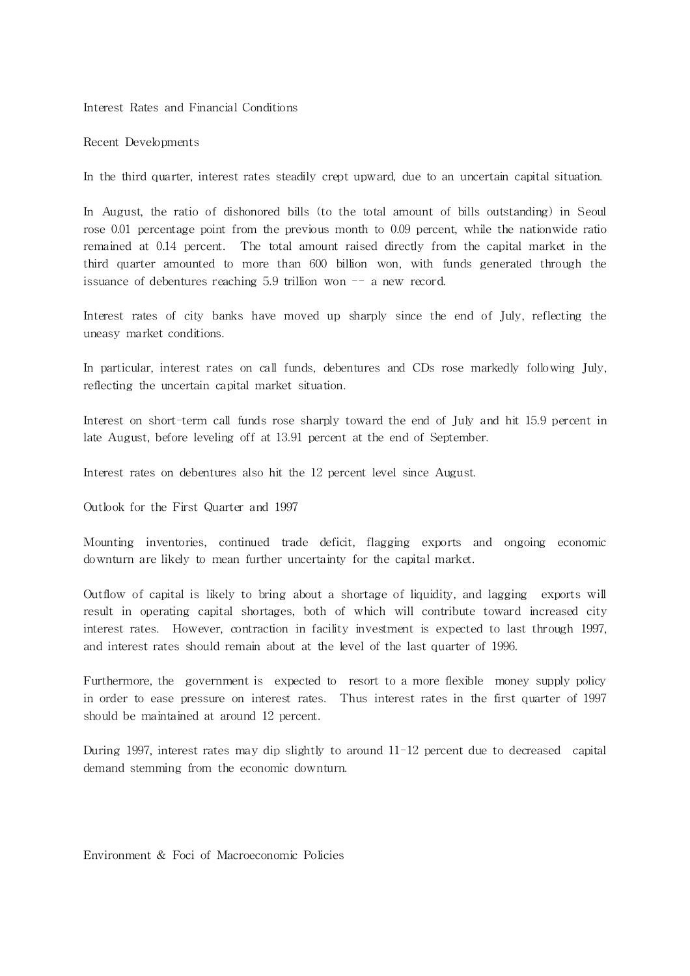Interest Rates and Financial Conditions

Recent Developments

In the third quarter, interest rates steadily crept upward, due to an uncertain capital situation.

In August, the ratio of dishonored bills (to the total amount of bills outstanding) in Seoul rose 0.01 percentage point from the previous month to 0.09 percent, while the nationwide ratio remained at 0.14 percent. The total amount raised directly from the capital market in the third quarter amounted to more than 600 billion won, with funds generated through the issuance of debentures reaching  $5.9$  trillion won  $-$  a new record.

Interest rates of city banks have moved up sharply since the end of July, reflecting the uneasy market conditions.

In particular, interest rates on call funds, debentures and CDs rose markedly following July, reflecting the uncertain capital market situa tion.

Interest on short-term call funds rose sharply toward the end of July and hit 15.9 percent in late August, before leveling off at 13.91 percent at the end of September.

Interest rates on debentures also hit the 12 percent level since August.

Outlook for the First Quarter and 1997

Mounting inventories, continued trade deficit, flagging exports and ongoing economic downturn are likely to mean further uncertainty for the capital market.

Outflow of capital is likely to bring about a shortage of liquidity, and lagging exports will result in operating capital shortages, both of which will contribute toward increased city interest rates. However, contraction in facility investment is expected to last through 1997, and interest rates should remain about at the level of the last quarter of 1996.

Furthermore, the government is expected to resort to a more flexible money supply policy in order to ease pressure on interest rates. Thus interest rates in the first quarter of 1997 should be maintained at around 12 percent.

During 1997, interest rates may dip slightly to around  $11-12$  percent due to decreased capital demand stemming from the economic downturn.

Environment & Foci of Macroeconomic Policies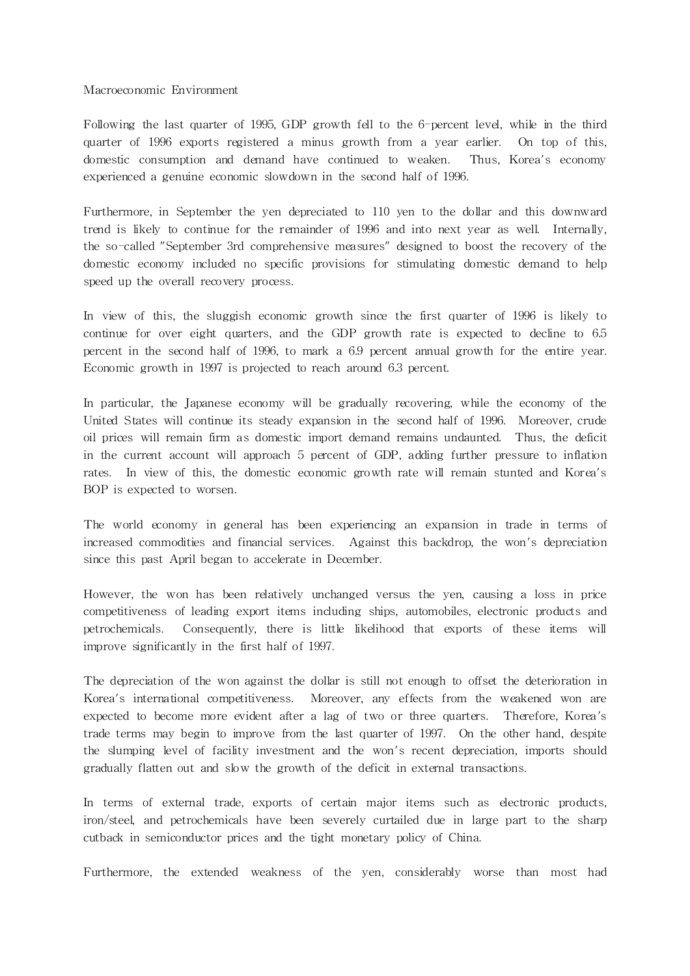#### Macroeconomic Environment

Following the last quarter of 1995, GDP growth fell to the 6-percent level, while in the third quarter of 1996 exports registered a minus growth from a year earlier. On top of this, domestic consumption and demand have continued to weaken. Thus, Korea's economy experienced a genuine economic slowdown in the second half of 1996.

Furthermore, in September the yen depreciated to 110 yen to the dollar and this downward trend is likely to continue for the remainder of 1996 and into next year as well. Internally, the so-called "September 3rd comprehensive measures" designed to boost the recovery of the domestic economy included no specific provisions for stimulating domestic demand to help speed up the overall recovery process.

In view of this, the sluggish economic growth since the first quarter of 1996 is likely to continue for over eight quarters, and the GDP growth rate is expected to decline to 6.5 percent in the second half of 1996, to mark a 6.9 percent annual growth for the entire year. Economic growth in 1997 is projected to reach around 6.3 percent.

In particular, the Japanese economy will be gradually recovering, while the economy of the United States will continue its steady expansion in the second half of 1996. Moreover, crude oil prices will remain firm as domestic import demand remains undaunted. Thus, the deficit in the current account will approach 5 percent of GDP, adding further pressure to inflation rates. In view of this, the domestic economic growth rate will remain stunted and Korea's BOP is expected to worsen.

The world economy in general has been experiencing an expansion in trade in terms of increased commodities and financial services. Against this backdrop, the won's depreciation since this past April began to accelerate in December.

However, the won has been relatively unchanged versus the yen, causing a loss in price competitiveness of leading export items including ships, automobiles, electronic products and petrochemicals. Consequently, there is little likelihood that exports of these items will improve significantly in the first half of 1997.

The depreciation of the won against the dollar is still not enough to offset the deterioration in Korea's international competitiveness. Moreover, any effects from the weakened won are expected to become more evident after a lag of two or three quarters. Therefore, Korea's trade terms may begin to improve from the last quar ter of 1997. On the other hand, despite the slumping level of facility investment and the won's recent depreciation, imports should gradually flatten out and slow the growth of the deficit in external transactions.

In terms of external trade, exports of certain major items such as electronic products, iron/steel, and petrochemicals have been severely curtailed due in large part to the sharp cutback in semiconductor prices and the tight monetary policy of China.

Furthermore, the extended weakness of the yen, considerably worse than most had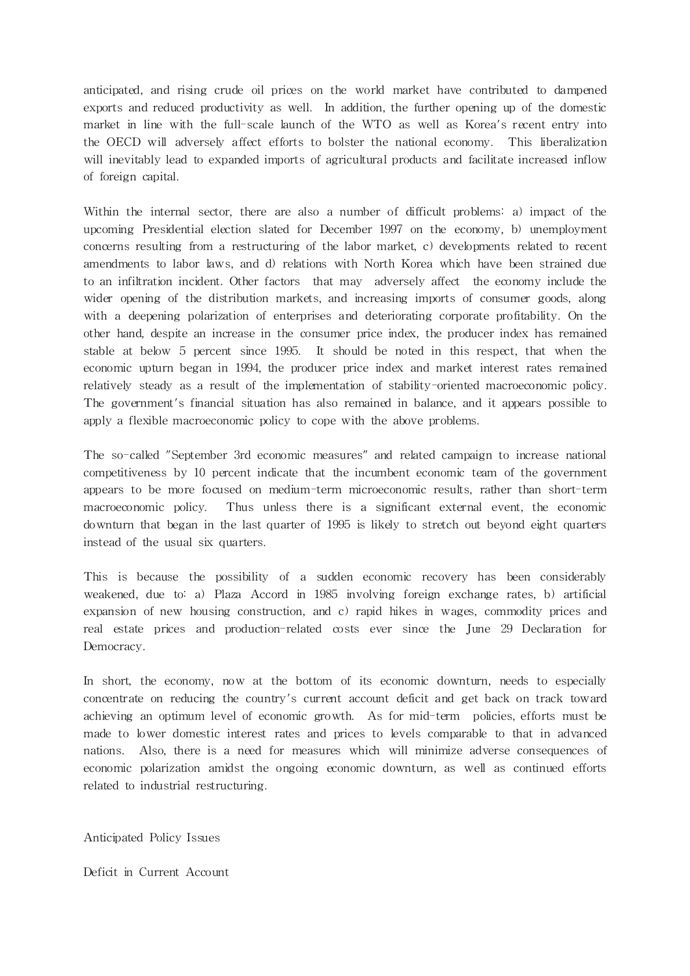anticipated, and rising crude oil prices on the world market have contributed to dampened exports and reduced productivity as well. In addition, the further opening up of the domestic market in line with the full-scale launch of the WTO as well as Korea's recent entry into the OECD will adversely a ffect efforts to bolster the national economy. This liberalization will inevitably lead to expanded imports of agricultural products and facilitate increased inflow of foreign capital.

Within the internal sector, there are also a number of difficult problems: a) impact of the upcoming Presidential election slated for December 1997 on the economy, b) unemployment concerns resulting from a restructuring of the labor market, c) developments related to recent amendments to labor laws, and d) relations with North Korea which have been strained due to an infiltration incident. Other factors that may adversely affect the economy include the wider opening of the distribution markets, and increasing imports of consumer goods, along with a deepening polarization of enterprises and deteriorating corporate profitability. On the other hand, despite an increase in the consumer price index, the producer index has remained stable at below 5 percent since 1995. It should be noted in this respect, that when the economic upturn began in 1994, the producer price index and market interest rates remained relatively steady as a result of the implementation of stability-oriented macroeconomic policy. The government's financial situation has also remained in balance, and it appears possible to apply a flexible macroeconomic policy to cope with the above problems.

The so-called "September 3rd economic measures" and related campaign to increase national competitiveness by 10 percent indicate that the incumbent economic team of the government appears to be more focused on medium-term microeconomic results, rather than short-term macroeconomic policy. Thus unless there is a significant external event, the economic downturn that began in the last quarter of 1995 is likely to stretch out beyond eight quarters instead of the usual six quarters.

This is because the possibility of a sudden economic recovery has been considerably weakened, due to: a) Plaza Accord in 1985 involving foreign exchange rates, b) artificial expansion of new housing construction, and c) rapid hikes in wages, commodity prices and real estate prices and production-related costs ever since the June 29 Declaration for Democracy.

In short, the economy, now at the bottom of its economic downturn, needs to especially concentrate on reducing the country's current account deficit and get back on track toward achieving an optimum level of economic growth. As for mid-term policies, efforts must be made to lower domestic interest rates and prices to levels comparable to that in advanced nations. Also, there is a need for measures which will minimize adverse consequences of economic polarization amidst the ongoing economic downturn, as well as continued efforts related to industrial restructuring.

Anticipated Policy Issues

Deficit in Current Account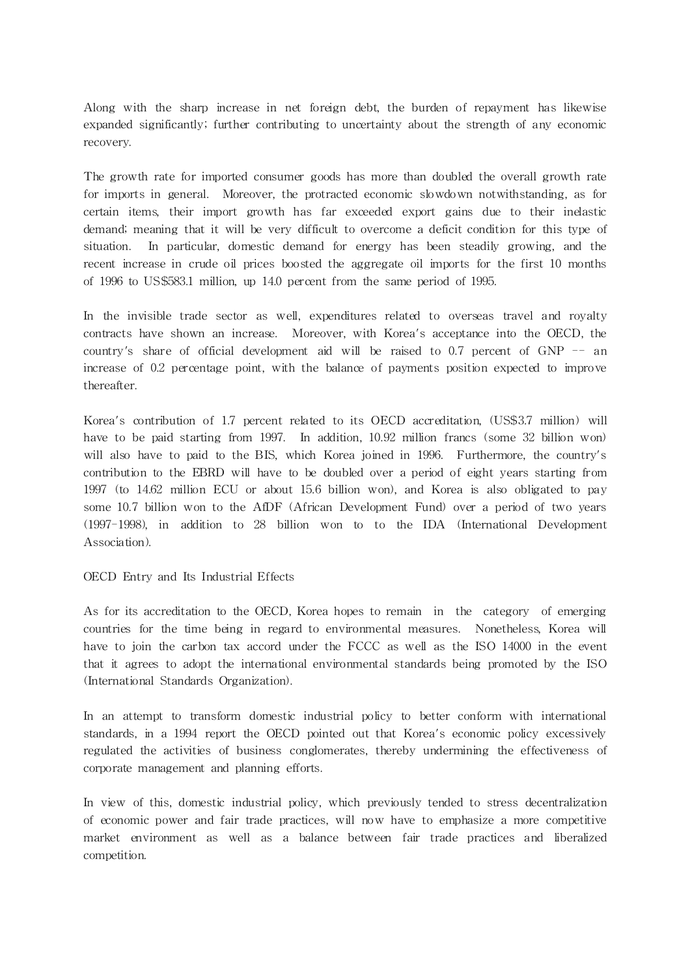Along with the sharp increase in net foreign debt, the burden of repayment has likewise expanded significantly; further contributing to uncertainty about the strength of any economic recovery.

The growth rate for imported consumer goods has more than doubled the overall growth rate for imports in general. Moreover, the protracted economic slowdown notwithstanding, as for certain items, their import growth has far exceeded export gains due to their inelastic demand; meaning that it will be very difficult to overcome a deficit condition for this type of situation. In particular, domestic demand for energy has been steadily growing, and the recent increase in crude oil prices boosted the aggregate oil imports for the first 10 months of 1996 to US\$583.1 million, up 14.0 percent from the same period of 1995.

In the invisible trade sector as well, expenditures related to overseas travel and royalty contracts have shown an increase. Moreover, with Korea's acceptance into the OECD, the country's share of official development aid will be raised to 0.7 percent of GNP -- an increase of 0.2 percentage point, with the balance of payments position expected to improve thereafter.

Korea's contribution of 1.7 percent related to its OECD accreditation, (US\$3.7 million) will have to be paid starting from 1997. In addition, 10.92 million francs (some 32 billion won) will also have to paid to the BIS, which Korea joined in 1996. Furthermore, the country's contribution to the EBRD will have to be doubled over a period of eight years starting from 1997 (to 14.62 million ECU or about 15.6 billion won), and Korea is also obligated to pay some 10.7 billion won to the AfDF (African Development Fund) over a period of two years (1997-1998), in addition to 28 billion won to to the IDA (International Development Associa tion).

OECD Entry and Its Industrial Effects

As for its accreditation to the OECD, Korea hopes to remain in the category of emerging countries for the time being in regard to environmental measures. Nonetheless, Korea will have to join the carbon tax accord under the FCCC as well as the ISO 14000 in the event that it agrees to adopt the international environmental standards being promoted by the ISO (International Standards Organization).

In an attempt to transform domestic industrial policy to better conform with international standards, in a 1994 report the OECD pointed out that Korea's economic policy excessively regulated the activities of business conglomerates, thereby undermining the effectiveness of corporate management and planning efforts.

In view of this, domestic industrial policy, which previously tended to stress decentralization of economic power and fair trade practices, will now have to emphasize a more competitive market environment as well as a balance between fair trade practices and liberalized competition.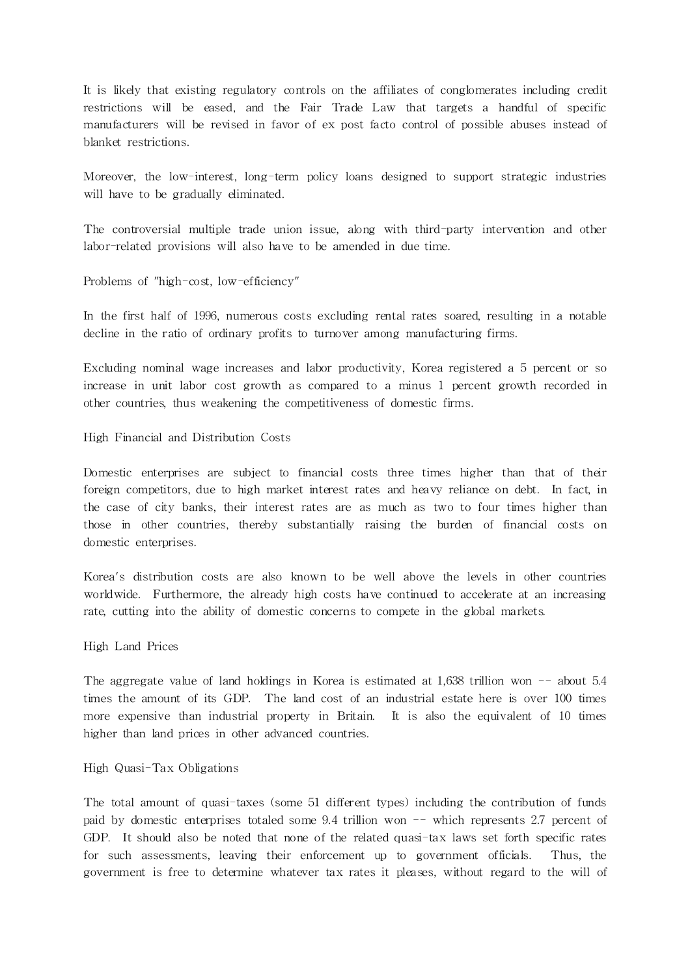It is likely that existing regula tory controls on the affiliates of conglomerates including credit restrictions will be eased, and the Fair Trade Law that targets a handful of specific manufacturers will be revised in favor of ex post facto control of possible abuses instead of blanket restrictions.

Moreover, the low-interest, long-term policy loans designed to support strategic industries will have to be gradually eliminated.

The controversial multiple trade union issue, along with third-party intervention and other labor-related provisions will also have to be amended in due time.

Problems of "high-cost, low-efficiency"

In the first half of 1996, numerous costs excluding rental rates soared, resulting in a notable decline in the ratio of ordinary profits to turnover among manufacturing firms.

Excluding nominal wage increases and labor productivity, Korea registered a 5 percent or so increase in unit labor cost growth as compared to a minus 1 percent growth recorded in other countries, thus weakening the competitiveness of domestic firms.

High Financial and Distribution Costs

Domestic enterprises are subject to financial costs three times higher than that of their foreign competitors, due to high market interest rates and heavy reliance on debt. In fact, in the case of city banks, their interest rates are as much as two to four times higher than those in other countries, thereby substantially raising the burden of financial costs on domestic enterprises.

Korea's distribution costs are also known to be well above the levels in other countries worldwide. Furthermore, the already high costs have continued to accelerate at an increasing rate, cutting into the ability of domestic concerns to compete in the global markets.

High Land Prices

The aggregate value of land holdings in Korea is estimated at 1,638 trillion won  $-$  about 5.4 times the amount of its GDP. The land cost of an industrial estate here is over 100 times more expensive than industrial property in Britain. It is also the equivalent of 10 times higher than land prices in other advanced countries.

#### High Quasi-Tax Obligations

The total amount of quasi-taxes (some 51 different types) including the contribution of funds paid by domestic enterprises totaled some 9.4 trillion won -- which represents 2.7 percent of GDP. It should also be noted that none of the related quasi-tax laws set forth specific rates for such assessments, leaving their enforcement up to government officials. Thus, the government is free to determine whatever tax rates it pleases, without regard to the will of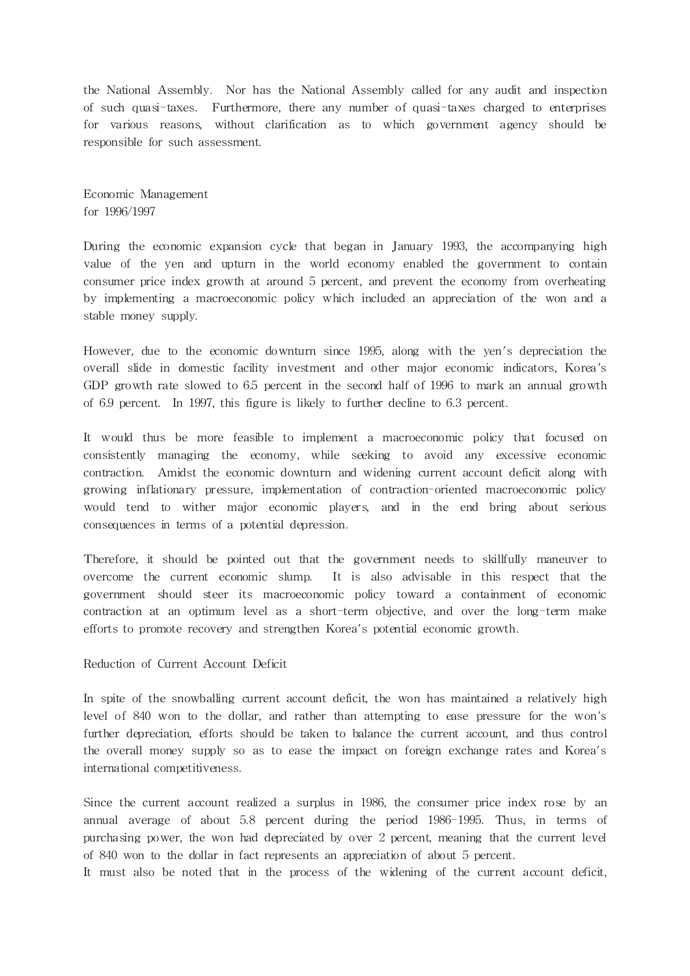the National Assembly. Nor has the National Assembly called for any audit and inspection of such quasi-taxes. Furthermore, there any number of quasi-taxes charged to enterprises for various reasons, without clarification as to which government agency should be responsible for such assessment.

Economic Management for 1996/1997

During the economic expansion cycle that began in January 1993, the accompanying high value of the yen and upturn in the world economy enabled the government to contain consumer price index growth at around 5 percent, and prevent the economy from overheating by implementing a macroeconomic policy which included an appreciation of the won and a stable money supply.

However, due to the economic downturn since 1995, along with the yen's depreciation the overall slide in domestic facility investment and other major economic indicators, Korea's GDP growth rate slowed to 6.5 percent in the second half of 1996 to mark an annual growth of 6.9 percent. In 1997, this figure is likely to further decline to 6.3 percent.

It would thus be more feasible to implement a macroeconomic policy that focused on consistently managing the economy, while seeking to avoid any excessive economic contraction. Amidst the economic downturn and widening current account deficit along with growing inflationary pressure, implementation of contraction-oriented macroeconomic policy would tend to wither major economic players, and in the end bring about serious consequences in terms of a potential depression.

Therefore, it should be pointed out that the government needs to skillfully maneuver to overcome the current economic slump. It is also advisable in this respect that the government should steer its macroeconomic policy toward a containment of economic contraction at an optimum level as a short-term objective, and over the long-term make efforts to promote recovery and strengthen Korea's potential economic growth.

Reduction of Current Account Deficit

In spite of the snowballing current account deficit, the won has maintained a relatively high level of 840 won to the dollar, and rather than attempting to ease pressure for the won's further depreciation, efforts should be taken to balance the current account, and thus control the overall money supply so as to ease the impact on foreign exchange rates and Korea's interna tional competitiveness.

Since the current account realized a surplus in 1986, the consumer price index rose by an annual average of about 5.8 percent during the period 1986-1995. Thus, in terms of purchasing power, the won had depreciated by over 2 percent, meaning that the current level of 840 won to the dollar in fact represents an appreciation of about 5 percent.

It must also be noted that in the process of the widening of the current account deficit,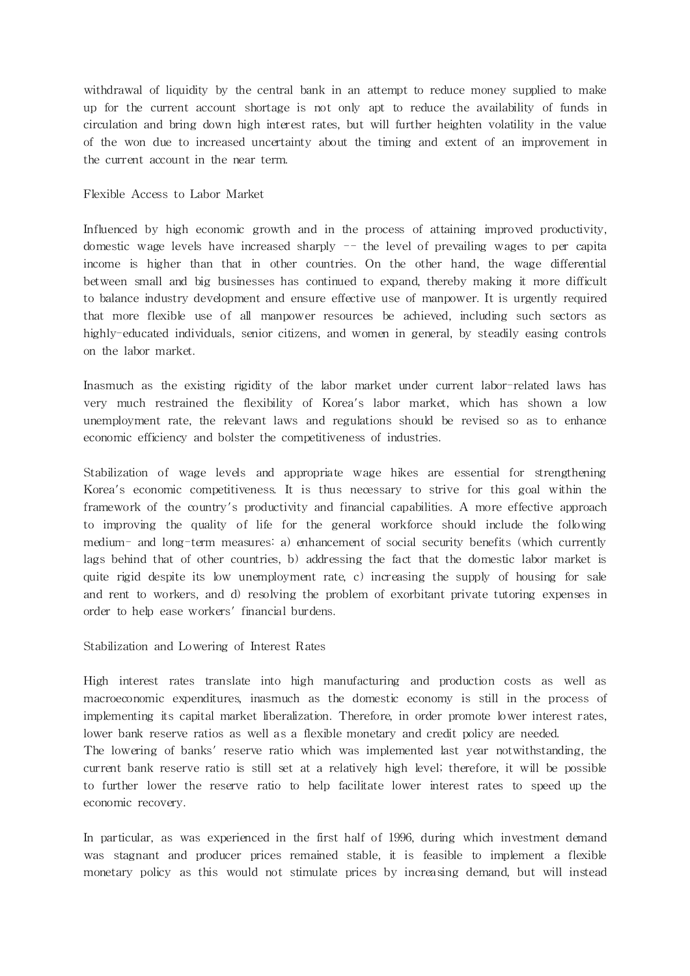withdrawal of liquidity by the central bank in an attempt to reduce money supplied to make up for the current account shortage is not only apt to reduce the availability of funds in circulation and bring down high interest rates, but will further heighten volatility in the value of the won due to increased uncertainty about the timing and extent of an improvement in the current account in the near term.

## Flexible Access to Labor Market

Influenced by high economic growth and in the process of attaining improved productivity, domestic wage levels have increased sharply -- the level of prevailing wages to per capita income is higher than that in other countries. On the other hand, the wage differential between small and big businesses has continued to expand, thereby making it more difficult to balance industry development and ensure effective use of manpower. It is urgently required that more flexible use of all manpower resources be achieved, including such sectors as highly-educated individuals, senior citizens, and women in general, by steadily easing controls on the labor market.

Inasmuch as the existing rigidity of the labor market under current labor-related laws has very much restrained the flexibility of Korea's labor market, which has shown a low unemployment rate, the relevant laws and regulations should be revised so as to enhance economic efficiency and bolster the competitiveness of industries.

Stabilization of wage levels and appropriate wage hikes are essential for strengthening Korea's economic competitiveness. It is thus necessary to strive for this goal within the framework of the country's productivity and financial capabilities. A more effective approach to improving the quality of life for the general workforce should include the following medium- and long-term measures: a) enhancement of social security benefits (which currently lags behind that of other countries, b) addressing the fact that the domestic labor market is quite rigid despite its low unemployment rate, c) increasing the supply of housing for sale and rent to workers, and d) resolving the problem of exorbitant private tutoring expenses in order to help ease workers' financial burdens.

Stabilization and Lowering of Interest Rates

High interest rates translate into high manufacturing and production costs as well as macroeconomic expenditures, inasmuch as the domestic economy is still in the process of implementing its capital market liberalization. Therefore, in order promote lower interest rates, lower bank reserve ratios as well as a flexible monetary and credit policy are needed. The lowering of banks' reserve ratio which was implemented last year notwithstanding, the current bank reserve ratio is still set at a relatively high level; therefore, it will be possible to further lower the reserve ratio to help facilitate lower interest rates to speed up the economic recovery.

In par ticular, as was experienced in the first half of 1996, during which investment demand was stagnant and producer prices remained stable, it is feasible to implement a flexible monetary policy as this would not stimulate prices by increasing demand, but will instead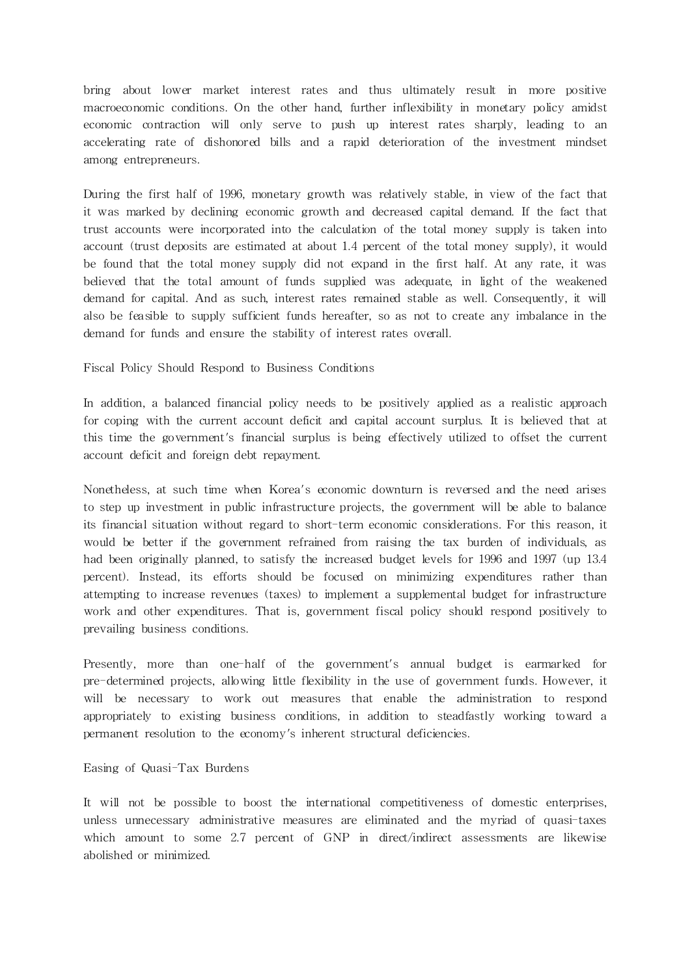bring about lower market interest rates and thus ultimately result in more positive macroeconomic conditions. On the other hand, further inflexibility in monetary policy amidst economic contraction will only serve to push up interest rates sharply, leading to an accelerating rate of dishonored bills and a rapid deterioration of the investment mindset among entrepreneurs.

During the first half of 1996, monetary growth was relatively stable, in view of the fact that it was marked by declining economic growth and decreased capital demand. If the fact that trust accounts were incorporated into the calculation of the total money supply is taken into account (trust deposits are estimated at about 1.4 percent of the total money supply), it would be found that the total money supply did not expand in the first half. At any rate, it was believed that the total amount of funds supplied was adequate, in light of the weakened demand for capital. And as such, interest rates remained stable as well. Consequently, it will also be feasible to supply sufficient funds hereafter, so as not to create any imbalance in the demand for funds and ensure the stability of interest rates overall.

#### Fiscal Policy Should Respond to Business Conditions

In addition, a balanced financial policy needs to be positively applied as a realistic approach for coping with the current account deficit and capital account surplus. It is believed that at this time the government's financial surplus is being effectively utilized to offset the current account deficit and foreign debt repayment.

Nonetheless, at such time when Korea's economic downturn is reversed and the need arises to step up investment in public infrastructure projects, the government will be able to balance its financial situation without regard to short-term economic considerations. For this reason, it would be better if the government refrained from raising the tax burden of individuals, as had been originally planned, to satisfy the increased budget levels for 1996 and 1997 (up 13.4 percent). Instead, its efforts should be focused on minimizing expenditures rather than attempting to increase revenues (taxes) to implement a supplemental budget for infrastructure work and other expenditures. That is, government fiscal policy should respond positively to prevailing business conditions.

Presently, more than one-half of the government's annual budget is earmarked for pre-determined projects, allowing little flexibility in the use of government funds. However, it will be necessary to work out measures that enable the administration to respond appropriately to existing business conditions, in addition to steadfastly working toward a permanent resolution to the economy's inherent structural deficiencies.

#### Easing of Quasi-Tax Burdens

It will not be possible to boost the international competitiveness of domestic enterprises, unless unnecessary administrative measures are eliminated and the myriad of quasi-taxes which amount to some 2.7 percent of GNP in direct/indirect assessments are likewise abolished or minimized.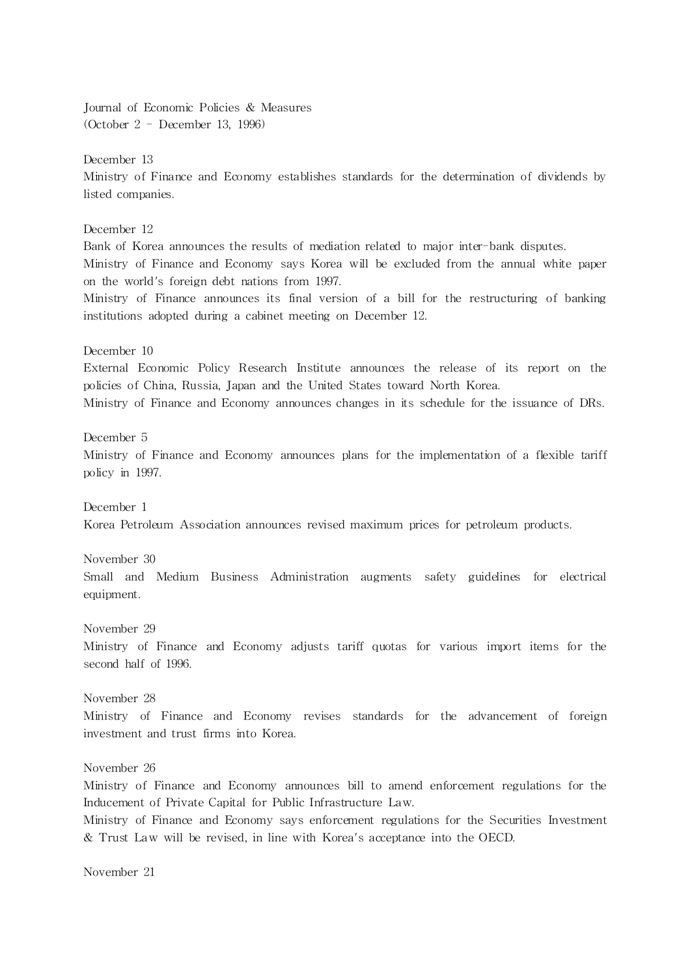Journal of Economic Policies & Measures (October 2 - December 13, 1996)

December 13 Ministry of Finance and Economy establishes standards for the determination of dividends by listed companies.

December 12 Bank of Korea announces the results of mediation related to major inter-bank disputes. Ministry of Finance and Economy says Korea will be excluded from the annual white paper on the world's foreign debt nations from 1997. Ministry of Finance announces its final version of a bill for the restructuring of banking institutions adopted during a cabinet meeting on December 12.

December 10

External Economic Policy Research Institute announces the release of its report on the policies of China, Russia, Japan and the United States toward North Korea.

Ministry of Finance and Economy announces changes in its schedule for the issuance of DRs.

December 5

Ministry of Finance and Economy announces plans for the implementation of a flexible tariff policy in 1997.

December 1 Korea Petroleum Association announces revised maximum prices for petroleum products.

November 30

Small and Medium Business Administration augments safety guidelines for electrical equipment.

November 29

Ministry of Finance and Economy adjusts tariff quotas for various import items for the second half of 1996.

November 28

Ministry of Finance and Economy revises standards for the advancement of foreign investment and trust firms into Korea.

November 26

Ministry of Finance and Economy announces bill to amend enforcement regulations for the Inducement of Private Capital for Public Infrastructure Law.

Ministry of Finance and Economy says enforcement regulations for the Securities Investment & Trust Law will be revised, in line with Korea's acceptance into the OECD.

November 21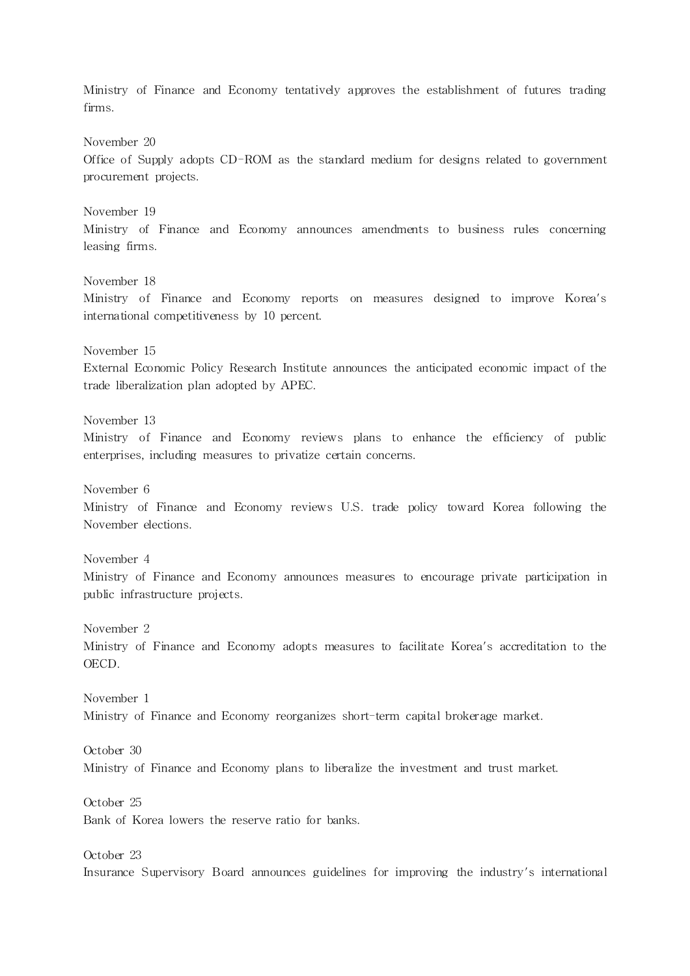Ministry of Finance and Economy tentatively approves the establishment of futures trading firms. November 20 Office of Supply adopts CD-ROM as the standard medium for designs related to government procurement projects. November 19 Ministry of Finance and Economy announces amendments to business rules concerning leasing firms. November 18 Ministry of Finance and Economy reports on measures designed to improve Korea's interna tional competitiveness by 10 percent. November 15 External Economic Policy Research Institute announces the anticipated economic impact of the trade liberalization plan adopted by APEC. November 13 Ministry of Finance and Economy reviews plans to enhance the efficiency of public enterprises, including measures to privatize certain concerns. November 6 Ministry of Finance and Economy reviews U.S. trade policy toward Korea following the November elections. November 4 Ministry of Finance and Economy announces measures to encourage private participation in public infrastructure projects. November 2 Ministry of Finance and Economy adopts measures to facilitate Korea's accreditation to the OECD. November 1 Ministry of Finance and Economy reorganizes short-term capital brokerage market. October 30 Ministry of Finance and Economy plans to liberalize the investment and trust market. October 25 Bank of Korea lowers the reserve ratio for banks. October 23 Insurance Supervisory Board announces guidelines for improving the industry's international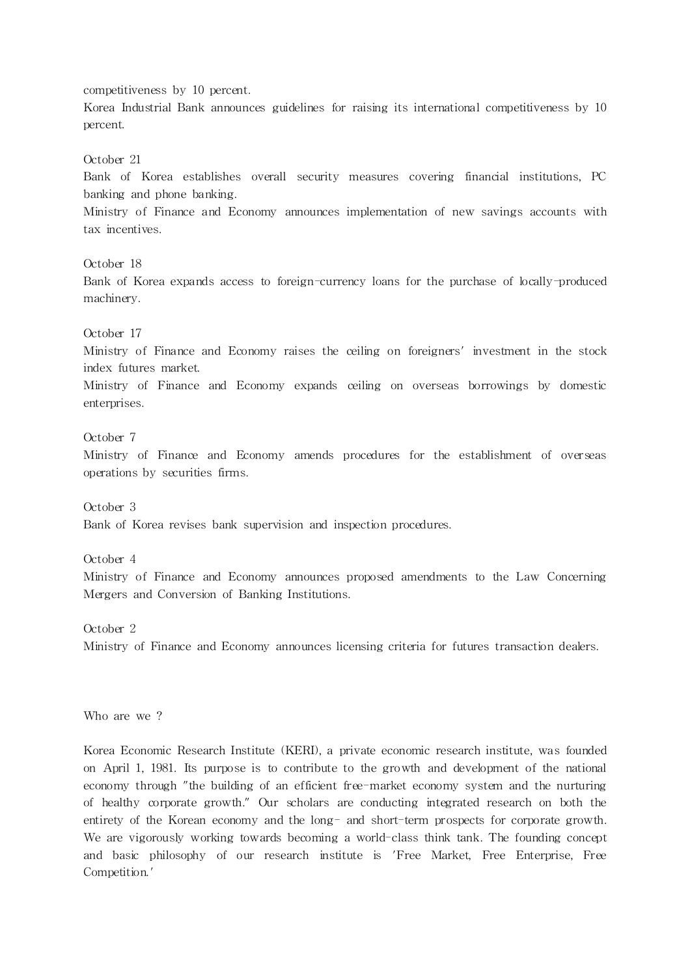competitiveness by 10 percent.

Korea Industrial Bank announces guidelines for raising its international competitiveness by 10 percent.

October 21

Bank of Korea establishes overall security measures covering financial institutions, PC banking and phone banking.

Ministry of Finance and Economy announces implementation of new savings accounts with tax incentives.

October 18

Bank of Korea expands access to foreign-currency loans for the purchase of locally-produced machinery.

## October 17

Ministry of Finance and Economy raises the ceiling on foreigners' investment in the stock index futures market.

Ministry of Finance and Economy expands ceiling on overseas borrowings by domestic enterprises.

## October 7

Ministry of Finance and Economy amends procedures for the establishment of overseas operations by securities firms.

October 3

Bank of Korea revises bank supervision and inspection procedures.

October 4

Ministry of Finance and Economy announces proposed amendments to the Law Concerning Mergers and Conversion of Banking Institutions.

October 2

Ministry of Finance and Economy announces licensing criteria for futures transaction dealers.

Who are we ?

Korea Economic Research Institute (KERI), a private economic research institute, was founded on April 1, 1981. Its purpose is to contribute to the growth and development of the national economy through "the building of an efficient free-market economy system and the nurturing of healthy corporate growth." Our scholars are conducting integrated research on both the entirety of the Korean economy and the long- and short-term prospects for corporate growth. We are vigorously working towards becoming a world-class think tank. The founding concept and basic philosophy of our research institute is 'Free Market, Free Enterprise, Free Competition.'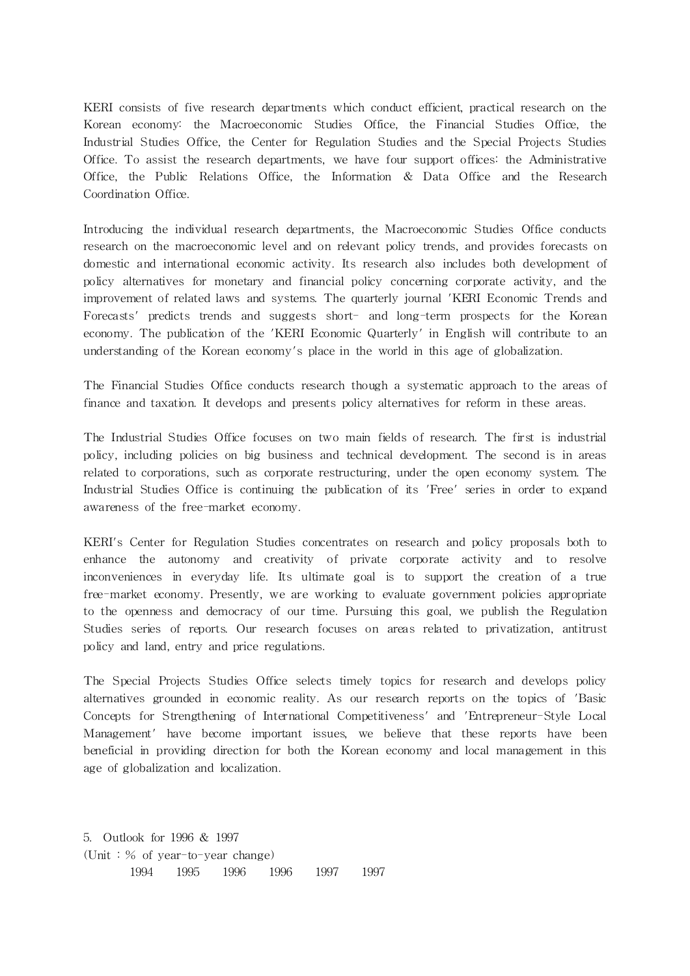KERI consists of five research departments which conduct efficient, practical research on the Korean economy: the Macroeconomic Studies Office, the Financial Studies Office, the Industrial Studies Office, the Center for Regulation Studies and the Special Projects Studies Office. To assist the research departments, we have four support offices: the Administrative Office, the Public Relations Office, the Information & Data Office and the Research Coordination Office.

Introducing the individual research departments, the Macroeconomic Studies Office conducts research on the macroeconomic level and on relevant policy trends, and provides forecasts on domestic and international economic activity. Its research also includes both development of policy alternatives for monetary and financial policy concerning corporate activity, and the improvement of related laws and systems. The quarterly journal 'KERI Economic Trends and Forecasts' predicts trends and suggests short- and long-term prospects for the Korean economy. The publication of the 'KERI Economic Quarterly' in English will contribute to an understanding of the Korean economy's place in the world in this age of globalization.

The Financial Studies Office conducts research though a systematic approach to the areas of finance and taxation. It develops and presents policy alternatives for reform in these areas.

The Industrial Studies Office focuses on two main fields of research. The first is industrial policy, including policies on big business and technical development. The second is in areas related to corporations, such as corporate restructuring, under the open economy system. The Industrial Studies Office is continuing the publication of its 'Free' series in order to expand awareness of the free-market economy.

KERI's Center for Regulation Studies concentrates on research and policy proposals both to enhance the autonomy and creativity of private corporate activity and to resolve inconveniences in everyday life. Its ultima te goal is to support the creation of a true free-market economy. Presently, we are working to evaluate government policies appropriate to the openness and democracy of our time. Pursuing this goal, we publish the Regulation Studies series of reports. Our research focuses on areas related to privatization, antitrust policy and land, entry and price regulations.

The Special Projects Studies Office selects timely topics for research and develops policy alternatives grounded in economic reality. As our research reports on the topics of 'Basic Concepts for Strengthening of International Competitiveness' and 'Entrepreneur-Style Local Management' have become important issues, we believe that these reports have been beneficial in providing direction for both the Korean economy and local management in this age of globalization and localization.

5. Outlook for 1996 & 1997 (Unit : % of year-to-year change) 1994 1995 1996 1996 1997 1997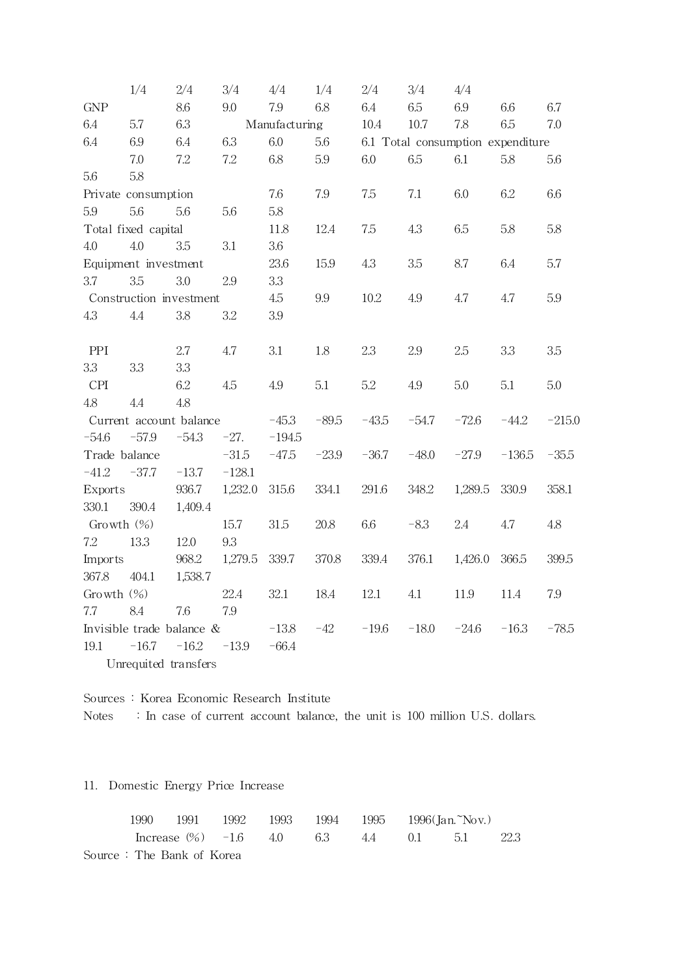|                | 1/4                       | $2/4\,$ | 3/4      | 4/4           | 1/4     | 2/4     | 3/4     | 4/4                               |          |          |
|----------------|---------------------------|---------|----------|---------------|---------|---------|---------|-----------------------------------|----------|----------|
| ${\rm GNP}$    |                           | 8.6     | 9.0      | 7.9           | 6.8     | 6.4     | 6.5     | 6.9                               | 6.6      | 6.7      |
| 6.4            | 5.7                       | 6.3     |          | Manufacturing |         | 10.4    | 10.7    | 7.8                               | 6.5      | 7.0      |
| 6.4            | 6.9                       | 6.4     | 6.3      | 6.0           | 5.6     |         |         | 6.1 Total consumption expenditure |          |          |
|                | 7.0                       | 7.2     | 7.2      | 6.8           | 5.9     | 6.0     | 6.5     | 6.1                               | 5.8      | 5.6      |
| 5.6            | 5.8                       |         |          |               |         |         |         |                                   |          |          |
|                | Private consumption       |         |          | 7.6           | 7.9     | 7.5     | 7.1     | 6.0                               | 6.2      | 6.6      |
| 5.9            | 5.6                       | 5.6     | 5.6      | 5.8           |         |         |         |                                   |          |          |
|                | Total fixed capital       |         |          | 11.8          | 12.4    | 7.5     | 4.3     | 6.5                               | 5.8      | 5.8      |
| 4.0            | 4.0                       | 3.5     | 3.1      | 3.6           |         |         |         |                                   |          |          |
|                | Equipment investment      |         |          | 23.6          | 15.9    | 4.3     | 3.5     | 8.7                               | 6.4      | 5.7      |
| 3.7            | 3.5                       | 3.0     | 2.9      | 3.3           |         |         |         |                                   |          |          |
|                | Construction investment   |         |          | 4.5           | 9.9     | 10.2    | 4.9     | 4.7                               | 4.7      | 5.9      |
| 4.3            | 4.4                       | 3.8     | 3.2      | $3.9\,$       |         |         |         |                                   |          |          |
|                |                           |         |          |               |         |         |         |                                   |          |          |
| PPI            |                           | 2.7     | 4.7      | 3.1           | 1.8     | 2.3     | 2.9     | 2.5                               | 3.3      | 3.5      |
| 3.3            | 3.3                       | 3.3     |          |               |         |         |         |                                   |          |          |
| <b>CPI</b>     |                           | 6.2     | 4.5      | 4.9           | 5.1     | 5.2     | 4.9     | 5.0                               | 5.1      | 5.0      |
| 4.8            | 4.4                       | 4.8     |          |               |         |         |         |                                   |          |          |
|                | Current account balance   |         |          | $-45.3$       | $-89.5$ | $-43.5$ | $-54.7$ | $-72.6$                           | $-44.2$  | $-215.0$ |
| $-54.6$        | $-57.9$                   | $-54.3$ | $-27.$   | $-194.5$      |         |         |         |                                   |          |          |
| Trade balance  |                           |         | $-31.5$  | $-47.5$       | $-23.9$ | $-36.7$ | $-48.0$ | $-27.9$                           | $-136.5$ | $-35.5$  |
| $-41.2$        | $-37.7$                   | $-13.7$ | $-128.1$ |               |         |         |         |                                   |          |          |
| <b>Exports</b> |                           | 936.7   | 1,232.0  | 315.6         | 334.1   | 291.6   | 348.2   | 1,289.5                           | 330.9    | 358.1    |
| 330.1          | 390.4                     | 1,409.4 |          |               |         |         |         |                                   |          |          |
| Growth $(\%)$  |                           |         | 15.7     | 31.5          | 20.8    | 6.6     | $-8.3$  | 2.4                               | 4.7      | 4.8      |
| 7.2            | 13.3                      | 12.0    | 9.3      |               |         |         |         |                                   |          |          |
| <b>Imports</b> |                           | 968.2   | 1,279.5  | 339.7         | 370.8   | 339.4   | 376.1   | 1,426.0                           | 366.5    | 399.5    |
| 367.8          | 404.1                     | 1,538.7 |          |               |         |         |         |                                   |          |          |
| Growth $(\%)$  |                           |         | 22.4     | 32.1          | 18.4    | 12.1    | 4.1     | 11.9                              | 11.4     | 7.9      |
| 7.7            | 8.4                       | 7.6     | 7.9      |               |         |         |         |                                   |          |          |
|                | Invisible trade balance & |         |          | $-13.8$       | $-42$   | $-19.6$ | $-18.0$ | $-24.6$                           | $-16.3$  | $-78.5$  |
| 19.1           | $-16.7$                   | $-16.2$ | $-13.9$  | $-66.4$       |         |         |         |                                   |          |          |
|                | Unrequited transfers      |         |          |               |         |         |         |                                   |          |          |

Sources : Korea Economic Research Institute Notes : In case of current account balance, the unit is 100 million U.S. dollars.

# 11. Domestic Energy Price Increase

| 1990 |                           |  |  | 1991 1992 1993 1994 1995 1996(Jan.~Nov.)                |  |
|------|---------------------------|--|--|---------------------------------------------------------|--|
|      |                           |  |  | Increase $\frac{(26)}{2}$ -1.6 4.0 6.3 4.4 0.1 5.1 22.3 |  |
|      | Source: The Bank of Korea |  |  |                                                         |  |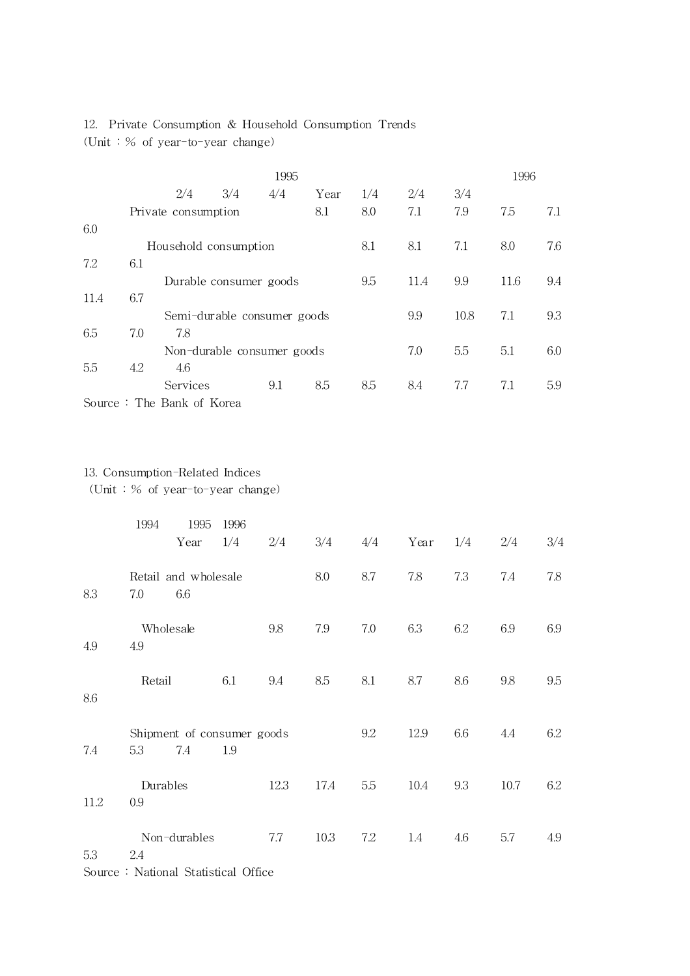# 12. Private Consumption & Household Consumption Trends (Unit : % of year-to-year change)

|      | 1995 |                           |                             |     |      |     |      |      |      | 1996 |
|------|------|---------------------------|-----------------------------|-----|------|-----|------|------|------|------|
|      |      | 2/4                       | 3/4                         | 4/4 | Year | 1/4 | 2/4  | 3/4  |      |      |
|      |      | Private consumption       |                             |     | 8.1  | 8.0 | 7.1  | 7.9  | 7.5  | 7.1  |
| 6.0  |      |                           |                             |     |      |     |      |      |      |      |
|      |      | Household consumption     |                             |     |      | 8.1 | 8.1  | 7.1  | 8.0  | 7.6  |
| 7.2  | 6.1  |                           |                             |     |      |     |      |      |      |      |
|      |      |                           | Durable consumer goods      |     |      | 9.5 | 11.4 | 9.9  | 11.6 | 9.4  |
| 11.4 | 6.7  |                           |                             |     |      |     |      |      |      |      |
|      |      |                           | Semi-durable consumer goods |     |      |     | 9.9  | 10.8 | 7.1  | 9.3  |
| 6.5  | 7.0  | 7.8                       |                             |     |      |     |      |      |      |      |
|      |      |                           | Non-durable consumer goods  |     |      |     | 7.0  | 5.5  | 5.1  | 6.0  |
| 5.5  | 4.2  | 4.6                       |                             |     |      |     |      |      |      |      |
|      |      | Services                  |                             | 9.1 | 8.5  | 8.5 | 8.4  | 7.7  | 7.1  | 5.9  |
|      |      | Source: The Bank of Korea |                             |     |      |     |      |      |      |      |

# 13. Consumption-Related Indices

(Unit : % of year-to-year change)

|      | 1994<br>1995<br>Year                     | 1996<br>1/4 | 2/4  | 3/4  | 4/4 | Year | 1/4 | 2/4  | 3/4 |
|------|------------------------------------------|-------------|------|------|-----|------|-----|------|-----|
| 8.3  | Retail and wholesale<br>6.6<br>7.0       |             |      | 8.0  | 8.7 | 7.8  | 7.3 | 7.4  | 7.8 |
| 4.9  | Wholesale<br>4.9                         |             | 9.8  | 7.9  | 7.0 | 6.3  | 6.2 | 6.9  | 6.9 |
| 8.6  | Retail                                   | 6.1         | 9.4  | 8.5  | 8.1 | 8.7  | 8.6 | 9.8  | 9.5 |
| 7.4  | Shipment of consumer goods<br>5.3<br>7.4 | 1.9         |      |      | 9.2 | 12.9 | 6.6 | 4.4  | 6.2 |
| 11.2 | Durables<br>0.9                          |             | 12.3 | 17.4 | 5.5 | 10.4 | 9.3 | 10.7 | 6.2 |
| 5.3  | Non-durables<br>2.4                      |             | 7.7  | 10.3 | 7.2 | 1.4  | 4.6 | 5.7  | 4.9 |

Source : National Statistical Office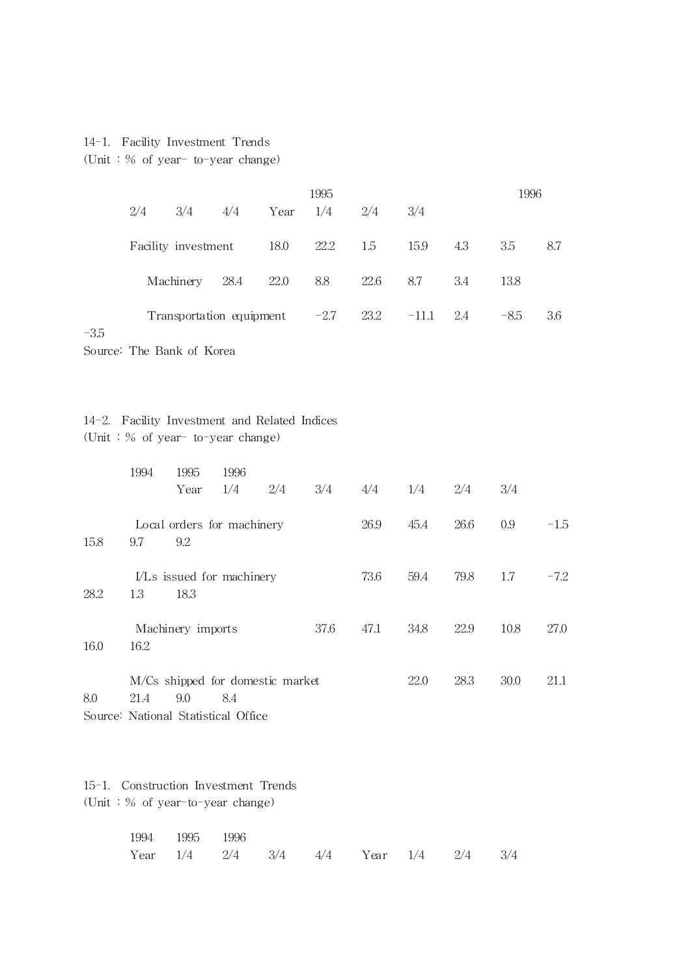## 14-1. Facility Investment Trends

(Unit : % of year- to-year change)

|     |                                 |      |            | 1995 |      |             |     | 1996   |     |
|-----|---------------------------------|------|------------|------|------|-------------|-----|--------|-----|
| 2/4 | 3/4                             | 4/4  | Year $1/4$ |      | 2/4  | 3/4         |     |        |     |
|     | Facility investment             |      | 18.0       | 22.2 | 1.5  | 15.9        | 4.3 | 3.5    | 8.7 |
|     | Machinery                       | 28.4 | 22.0       | 8.8  | 22.6 | 8.7         | 3.4 | 13.8   |     |
|     | Transportation equipment $-2.7$ |      |            |      | 23.2 | $-11.1$ 2.4 |     | $-8.5$ | 3.6 |
|     |                                 |      |            |      |      |             |     |        |     |

Source: The Bank of Korea

-3.5

# 14-2. Facility Investment and Related Indices (Unit : % of year- to-year change)

|      | 1994 | 1995                                                                           | 1996 |     |      |      |      |      |      |        |
|------|------|--------------------------------------------------------------------------------|------|-----|------|------|------|------|------|--------|
|      |      | Year                                                                           | 1/4  | 2/4 | 3/4  | 4/4  | 1/4  | 2/4  | 3/4  |        |
| 15.8 | 9.7  | Local orders for machinery<br>9.2                                              |      |     |      | 26.9 | 45.4 | 26.6 | 0.9  | $-1.5$ |
| 28.2 | 1.3  | I/Ls issued for machinery<br>18.3                                              |      |     |      | 73.6 | 59.4 | 79.8 | 1.7  | $-7.2$ |
| 16.0 | 16.2 | Machinery imports                                                              |      |     | 37.6 | 47.1 | 34.8 | 22.9 | 10.8 | 27.0   |
| 8.0  | 21.4 | M/Cs shipped for domestic market<br>9.0<br>Source: National Statistical Office | 8.4  |     |      |      | 22.0 | 28.3 | 30.0 | 21.1   |

15-1. Construction Investment Trends (Unit : % of year-to-year change)

| 1994 1995 1996 |  |                                                     |  |  |
|----------------|--|-----------------------------------------------------|--|--|
|                |  | Year $1/4$ $2/4$ $3/4$ $4/4$ Year $1/4$ $2/4$ $3/4$ |  |  |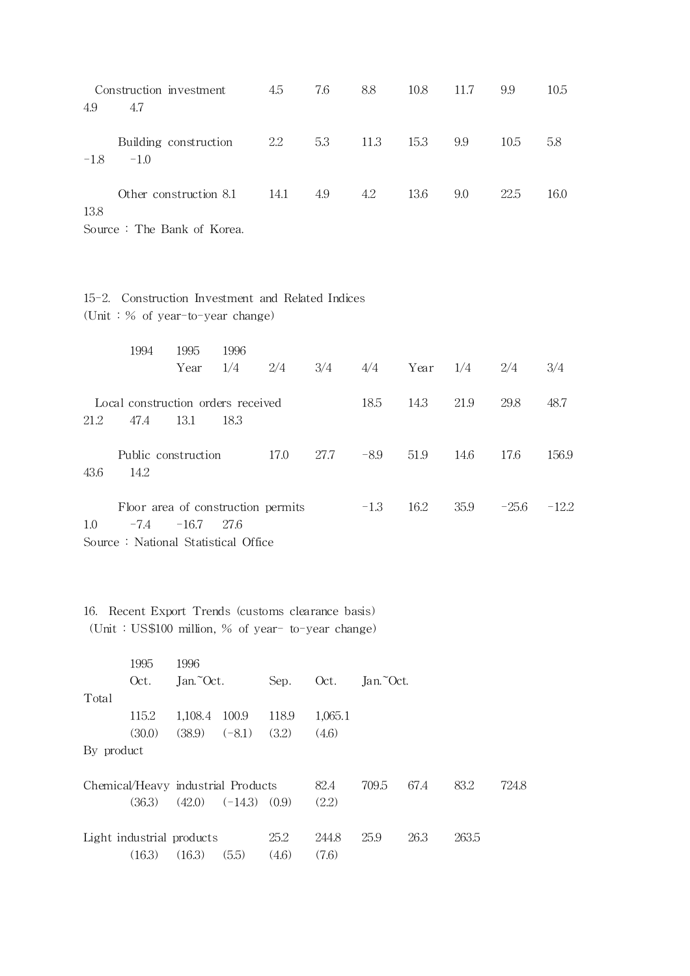|        | Construction investment                             | 4.5  | 7.6 | 8.8  | 10.8 | 11.7 | 9.9  | 10.5 |
|--------|-----------------------------------------------------|------|-----|------|------|------|------|------|
| 4.9    | 4.7                                                 |      |     |      |      |      |      |      |
| $-1.8$ | Building construction<br>$-1.0$                     | 2.2  | 5.3 | 11.3 | 15.3 | 9.9  | 10.5 | 5.8  |
| 13.8   | Other construction 8.1                              | 14.1 | 4.9 | 4.2  | 13.6 | 9.0  | 22.5 | 16.0 |
| $\sim$ | $\sim$ $\pi$ <sup>1</sup> $\sim$ $\pi$ <sup>7</sup> |      |     |      |      |      |      |      |

Source : The Bank of Korea.

|  | 15-2. Construction Investment and Related Indices |  |  |  |
|--|---------------------------------------------------|--|--|--|
|  | (Unit: $%$ of year-to-year change)                |  |  |  |

|      | 1994                                       | 1995    | 1996  |                                    |      |        |      |      |         |         |
|------|--------------------------------------------|---------|-------|------------------------------------|------|--------|------|------|---------|---------|
|      |                                            | Year    | 1/4   | 2/4                                | 3/4  | 4/4    | Year | 1/4  | 2/4     | 3/4     |
| 21.2 | Local construction orders received<br>47.4 | 13.1    | 18.3  |                                    |      | 18.5   | 14.3 | 21.9 | 29.8    | 48.7    |
| 43.6 | Public construction<br>14.2                |         |       | 17.0                               | 27.7 | $-8.9$ | 51.9 | 14.6 | 17.6    | 156.9   |
| 1.0  | $-7.4$                                     | $-16.7$ | -27.6 | Floor area of construction permits |      | $-1.3$ | 16.2 | 35.9 | $-25.6$ | $-12.2$ |
|      |                                            |         |       |                                    |      |        |      |      |         |         |

Source : National Statistical Office

16. Recent Export Trends (customs clearance basis) (Unit : US\$100 million, % of year- to-year change)

|            | 1995                               | 1996      |           |       |         |           |      |       |       |
|------------|------------------------------------|-----------|-----------|-------|---------|-----------|------|-------|-------|
|            | Oct.                               | Jan. Oct. |           | Sep.  | Oct.    | Jan.~Oct. |      |       |       |
| Total      |                                    |           |           |       |         |           |      |       |       |
|            | 115.2                              | 1,108.4   | 100.9     | 118.9 | 1,065.1 |           |      |       |       |
|            | (30.0)                             | (38.9)    | $(-8.1)$  | (3.2) | (4.6)   |           |      |       |       |
| By product |                                    |           |           |       |         |           |      |       |       |
|            |                                    |           |           |       |         |           |      |       |       |
|            | Chemical/Heavy industrial Products |           |           |       | 82.4    | 709.5     | 67.4 | 83.2  | 724.8 |
|            | (36.3)                             | (42.0)    | $(-14.3)$ | (0.9) | (2.2)   |           |      |       |       |
|            |                                    |           |           |       |         |           |      |       |       |
|            | Light industrial products          |           |           | 25.2  | 244.8   | 25.9      | 26.3 | 263.5 |       |
|            | (16.3)                             | (16.3)    | (5.5)     | (4.6) | (7.6)   |           |      |       |       |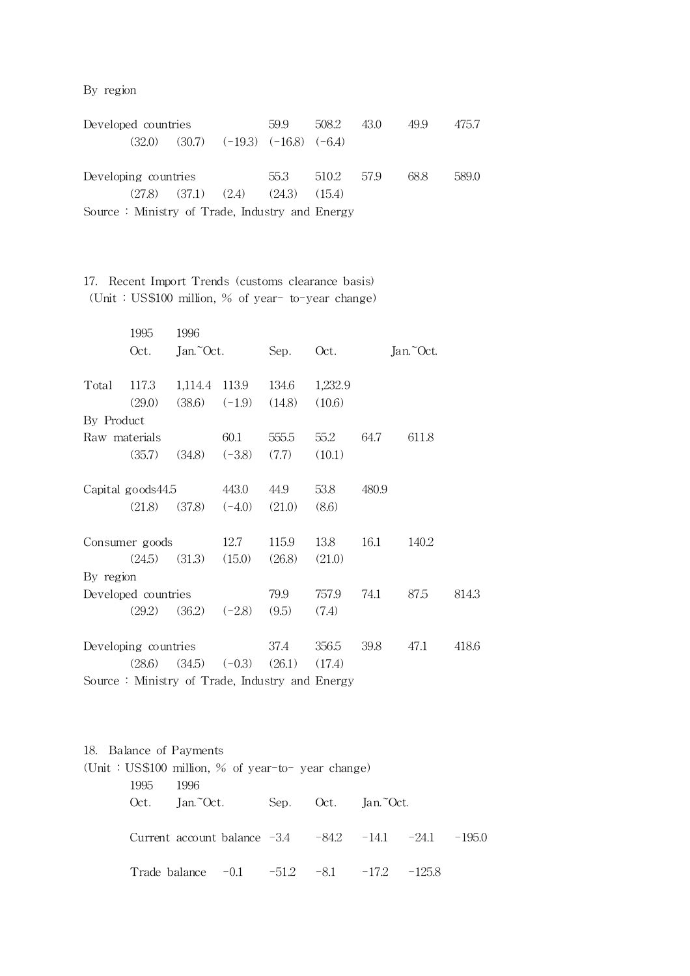By region

|                                                | Developed countries  |                           |                                       | 59.9   | 508.2 43.0 |  | 49.9 | 475.7 |
|------------------------------------------------|----------------------|---------------------------|---------------------------------------|--------|------------|--|------|-------|
|                                                | (32.0)               |                           | $(30.7)$ $(-19.3)$ $(-16.8)$ $(-6.4)$ |        |            |  |      |       |
|                                                |                      |                           |                                       |        |            |  |      |       |
|                                                | Developing countries |                           |                                       | 55.3   | 510.2 57.9 |  | 68.8 | 589.0 |
|                                                |                      | $(27.8)$ $(37.1)$ $(2.4)$ |                                       | (24.3) | (15.4)     |  |      |       |
| Source: Ministry of Trade, Industry and Energy |                      |                           |                                       |        |            |  |      |       |

17. Recent Import Trends (customs clearance basis) (Unit : US\$100 million, % of year- to-year change)

|                      | 1995                 | 1996      |                            |        |                                                |       |           |       |
|----------------------|----------------------|-----------|----------------------------|--------|------------------------------------------------|-------|-----------|-------|
|                      | Oct.                 | Jan. Oct. |                            | Sep.   | Oct.                                           |       | Jan. Oct. |       |
| Total                | 117.3                |           | 1,114.4 113.9              | 134.6  | 1,232.9                                        |       |           |       |
|                      | (29.0)               | (38.6)    | $(-1.9)$                   | (14.8) | (10.6)                                         |       |           |       |
| By Product           |                      |           |                            |        |                                                |       |           |       |
| Raw materials        |                      |           | 60.1                       | 555.5  | 55.2                                           | 64.7  | 611.8     |       |
|                      | (35.7)               | (34.8)    | $(-3.8)$                   | (7.7)  | (10.1)                                         |       |           |       |
|                      | Capital goods $44.5$ |           |                            | 44.9   | 53.8                                           | 480.9 |           |       |
|                      | (21.8)               | (37.8)    | 443.0<br>$(-4.0)$          | (21.0) | (8.6)                                          |       |           |       |
|                      | Consumer goods       |           | 12.7                       | 115.9  | 13.8                                           | 16.1  | 140.2     |       |
|                      | (24.5)               | (31.3)    | (15.0)                     | (26.8) | (21.0)                                         |       |           |       |
| By region            |                      |           |                            |        |                                                |       |           |       |
|                      | Developed countries  |           |                            | 79.9   | 757.9                                          | 74.1  | 87.5      | 814.3 |
|                      | (29.2)               | (36.2)    | $(-2.8)$                   | (9.5)  | (7.4)                                          |       |           |       |
| Developing countries |                      |           |                            | 37.4   | 356.5                                          | 39.8  | 47.1      | 418.6 |
| (28.6)               |                      |           | $(34.5)$ $(-0.3)$ $(26.1)$ |        | (17.4)                                         |       |           |       |
|                      |                      |           |                            |        | Source: Ministry of Trade, Industry and Energy |       |           |       |

18. Balance of Payments (Unit : US\$100 million, % of year-to- year change) 1995 1996 Oct. Jan.~Oct. Sep. Oct. Jan.~Oct. Current account balance -3.4 -84.2 -14.1 -24.1 -195.0 Trade balance  $-0.1$   $-51.2$   $-8.1$   $-17.2$   $-125.8$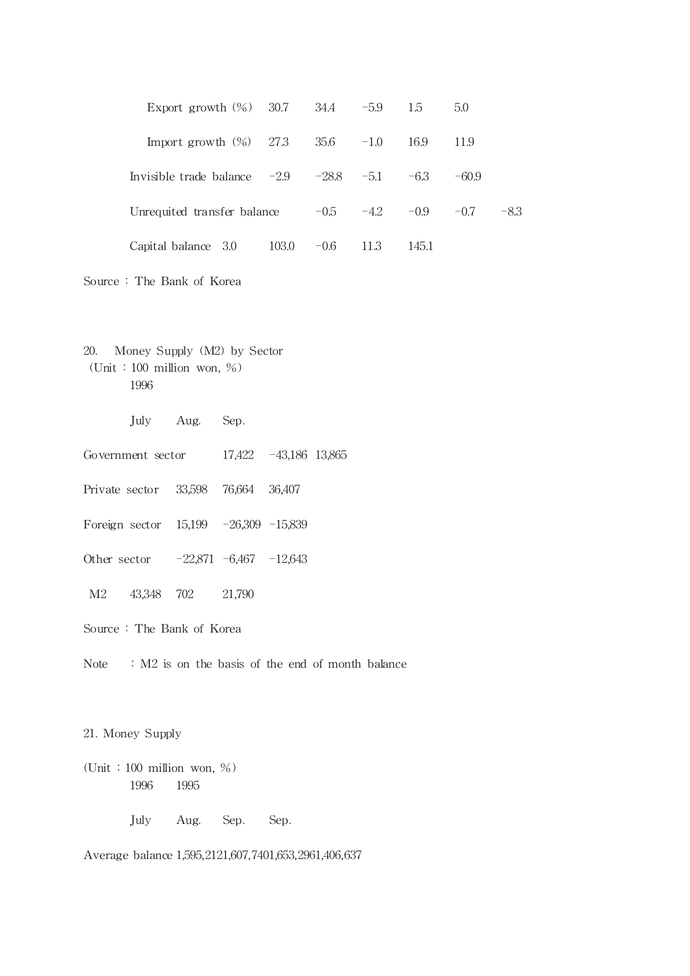| Export growth $(\%)$ 30.7                            |       |        | $34.4 \qquad -5.9$   | 1.5   | 5.0     |      |
|------------------------------------------------------|-------|--------|----------------------|-------|---------|------|
| Import growth $(\%)$ 27.3                            |       | 35.6   | $-1.0$               | 16.9  | 11.9    |      |
| Invisible trade balance $-2.9$ $-28.8$ $-5.1$ $-6.3$ |       |        |                      |       | $-60.9$ |      |
| Unrequited transfer balance                          |       |        | $-0.5$ $-4.2$ $-0.9$ |       | $-0.7$  | -8.3 |
| Capital balance 3.0                                  | 103.0 | $-0.6$ | 11.3                 | 145.1 |         |      |

- Source : The Bank of Korea
- 20. Money Supply (M2) by Sector (Unit : 100 million won, %) 1996
	- July Aug. Sep.
- Government sector 17,422 -43,186 13,865
- Private sector 33,598 76,664 36,407
- Foreign sector 15,199 -26,309 -15,839
- Other sector -22,871 -6,467 -12,643
- M2 43,348 702 21,790
- Source : The Bank of Korea
- Note : M2 is on the basis of the end of month balance

## 21. Money Supply

(Unit : 100 million won, %) 1996 1995

July Aug. Sep. Sep.

Average balance 1,595,2121,607,7401,653,2961,406,637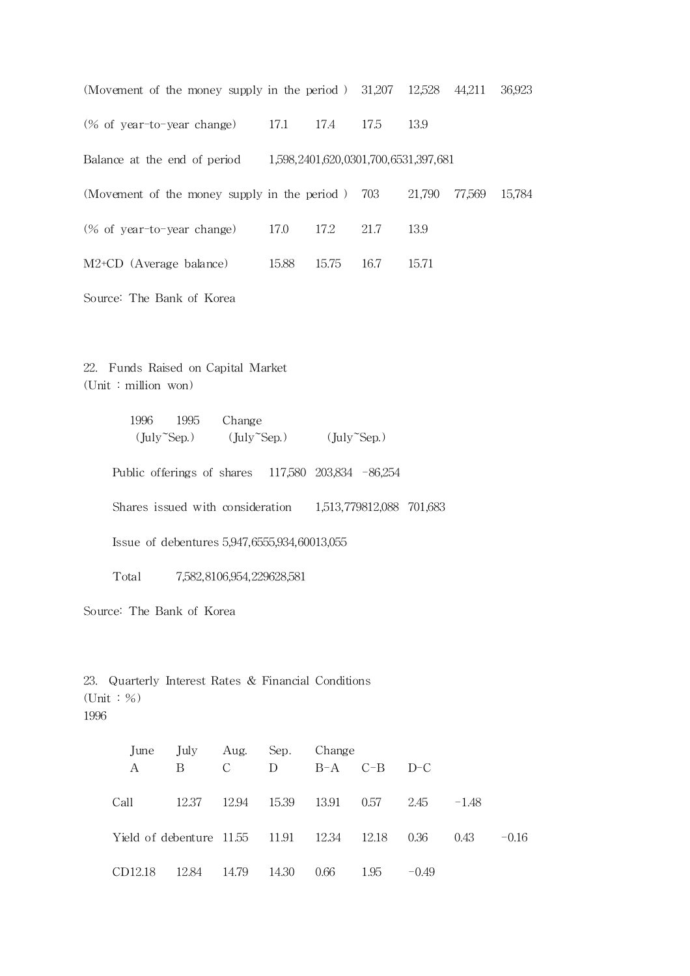| (Movement of the money supply in the period) $31,207$ 12,528 |       |       |                                      |        | 44,211 | 36,923 |
|--------------------------------------------------------------|-------|-------|--------------------------------------|--------|--------|--------|
| (% of year-to-year change)                                   | 17.1  | 17.4  | 17.5                                 | 13.9   |        |        |
| Balance at the end of period                                 |       |       | 1,598,2401,620,0301,700,6531,397,681 |        |        |        |
| (Movement of the money supply in the period) 703             |       |       |                                      | 21,790 | 77,569 | 15,784 |
| $(\%$ of year-to-year change)                                | 17.0  | 17.2  | 21.7                                 | 13.9   |        |        |
| $M2+CD$ (Average balance)                                    | 15.88 | 15.75 | 16.7                                 | 15.71  |        |        |
|                                                              |       |       |                                      |        |        |        |

Source: The Bank of Korea

22. Funds Raised on Capital Market (Unit : million won)

> 1996 1995 Change  $(\text{July}^{\sim}\text{Sep.})$   $(\text{July}^{\sim}\text{Sep.})$   $(\text{July}^{\sim}\text{Sep.})$

Public offerings of shares 117,580 203,834 -86,254

Shares issued with consideration 1,513,779812,088 701,683

Issue of debentures 5,947,6555,934,60013,055

Total 7,582,8106,954,229628,581

Source: The Bank of Korea

23. Quarterly Interest Rates & Financial Conditions (Unit : %) 1996

|                                                 | June July Aug. Sep. Change        |       |                 |      |      |           |         |         |
|-------------------------------------------------|-----------------------------------|-------|-----------------|------|------|-----------|---------|---------|
| A                                               | <sup>B</sup>                      |       | $C$ D B-A $C-B$ |      |      | $D-C$     |         |         |
| Call                                            | 12.37 12.94 15.39 13.91 0.57 2.45 |       |                 |      |      |           | $-1.48$ |         |
| Yield of debenture 11.55 11.91 12.34 12.18 0.36 |                                   |       |                 |      |      |           | 0.43    | $-0.16$ |
| CD12.18 12.84                                   |                                   | 14.79 | 14.30           | 0.66 | 1.95 | $-(0.49)$ |         |         |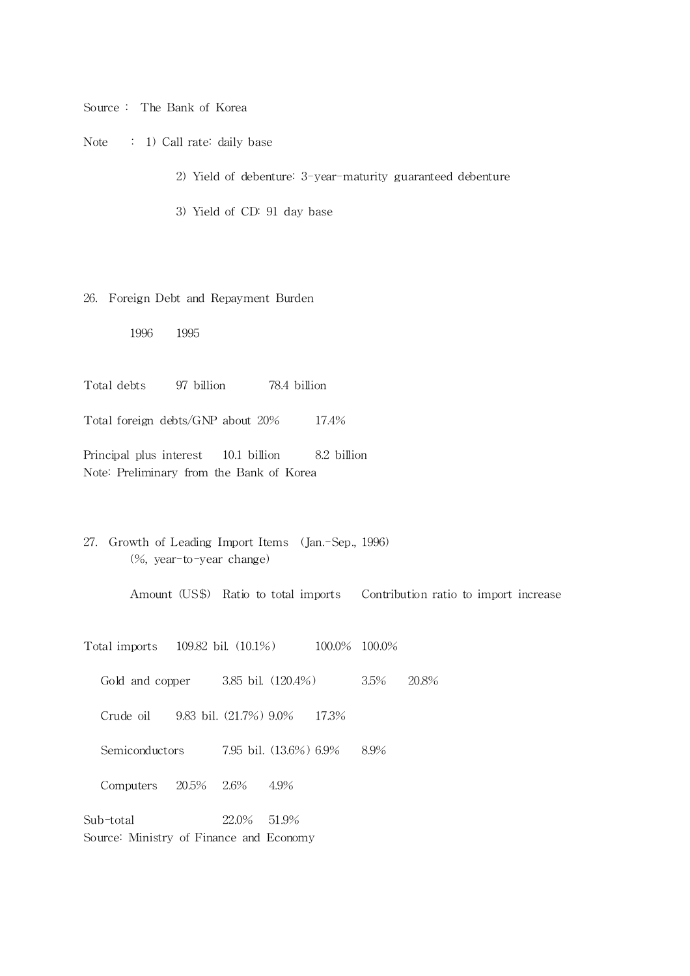Source : The Bank of Korea

Note : 1) Call rate: daily base

2) Yield of debenture: 3-year-maturity guaranteed debenture

3) Yield of CD: 91 day base

#### 26. Foreign Debt and Repayment Burden

1996 1995

Total debts 97 billion 78.4 billion

Total foreign debts/GNP about 20% 17.4%

Principal plus interest 10.1 billion 8.2 billion Note: Preliminary from the Bank of Korea

27. Growth of Leading Import Items (Jan.-Sep., 1996) (%, year-to-year change)

Amount (US\$) Ratio to total imports Contribution ratio to import increase

Total imports 109.82 bil. (10.1%) 100.0% 100.0%

Gold and copper 3.85 bil. (120.4%) 3.5% 20.8%

Crude oil 9.83 bil. (21.7%) 9.0% 17.3%

Semiconductors 7.95 bil. (13.6%) 6.9% 8.9%

Computers 20.5% 2.6% 4.9%

Sub-total 22.0% 51.9% Source: Ministry of Finance and Economy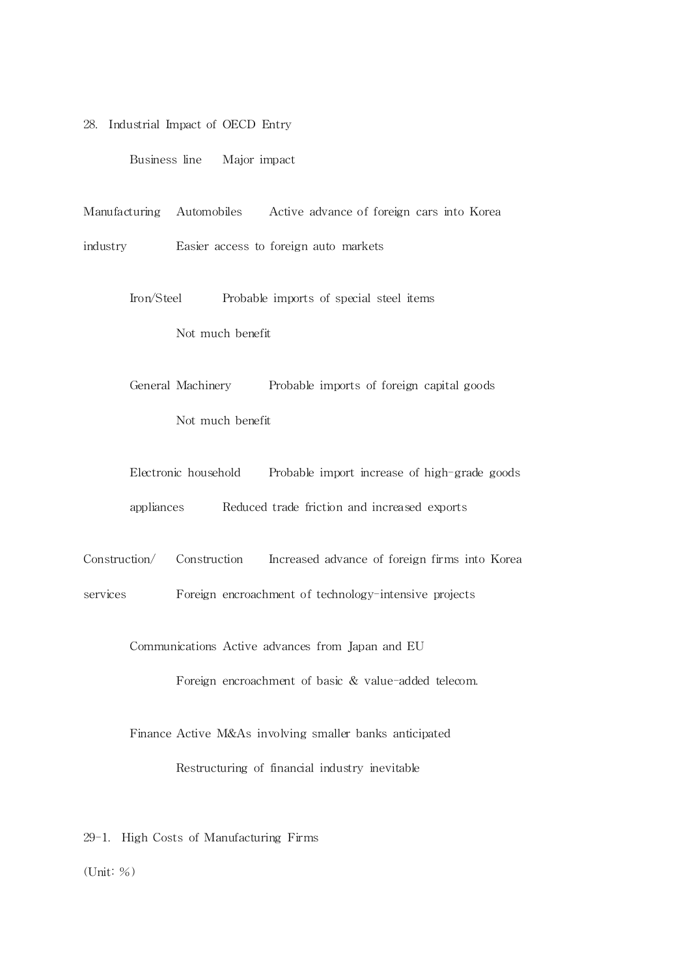28. Industrial Impact of OECD Entry

Business line Major impact

Manufacturing Automobiles Active advance of foreign cars into Korea

industry Easier access to foreign auto markets

Iron/Steel Probable imports of special steel items Not much benefit

General Machinery Probable imports of foreign capital goods Not much benefit

Electronic household Probable import increase of high-grade goods appliances Reduced trade friction and increased exports

Construction/ Construction Increased advance of foreign firms into Korea

services Foreign encroachment of technology-intensive projects

Communications Active advances from Japan and EU

Foreign encroachment of basic & value-added telecom.

Finance Active M&As involving smaller banks anticipated Restructuring of financial industry inevitable

29-1. High Costs of Manufacturing Firms

 $($ Unit:  $%$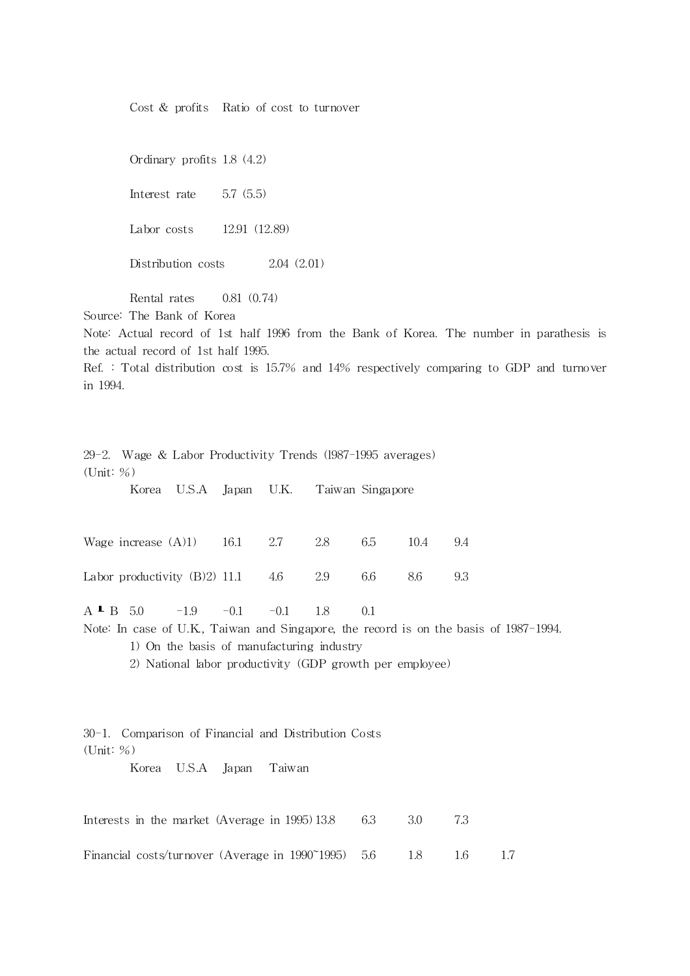Cost & profits Ratio of cost to turnover

Ordinary profits 1.8 (4.2)

Interest rate 5.7 (5.5)

Labor costs 12.91 (12.89)

Distribution costs 2.04 (2.01)

Rental rates 0.81 (0.74)

Source: The Bank of Korea

Note: Actual record of 1st half 1996 from the Bank of Korea. The number in parathesis is the actual record of 1st half 1995.

Ref. : Total distribution cost is 15.7% and 14% respectively comparing to GDP and turnover in 1994.

| 29-2. Wage & Labor Productivity Trends (1987-1995 averages) |       |                                                          |       |        |     |     |      |                                                                                       |  |
|-------------------------------------------------------------|-------|----------------------------------------------------------|-------|--------|-----|-----|------|---------------------------------------------------------------------------------------|--|
| (Unit: %)                                                   |       |                                                          |       |        |     |     |      |                                                                                       |  |
|                                                             | Korea | U.S.A Japan U.K. Taiwan Singapore                        |       |        |     |     |      |                                                                                       |  |
|                                                             |       |                                                          |       |        |     |     |      |                                                                                       |  |
| Wage increase $(A)1$                                        |       |                                                          | 16.1  | 2.7    | 2.8 | 6.5 | 10.4 | 9.4                                                                                   |  |
| Labor productivity $(B)2$ ) 11.1                            |       |                                                          |       | 4.6    | 2.9 | 6.6 | 8.6  | 9.3                                                                                   |  |
| $A \perp B$ 5.0                                             |       | $-1.9$ $-0.1$                                            |       | $-0.1$ | 1.8 | 0.1 |      |                                                                                       |  |
|                                                             |       |                                                          |       |        |     |     |      | Note: In case of U.K., Taiwan and Singapore, the record is on the basis of 1987–1994. |  |
|                                                             |       | 1) On the basis of manufacturing industry                |       |        |     |     |      |                                                                                       |  |
|                                                             |       | 2) National labor productivity (GDP growth per employee) |       |        |     |     |      |                                                                                       |  |
|                                                             |       |                                                          |       |        |     |     |      |                                                                                       |  |
|                                                             |       |                                                          |       |        |     |     |      |                                                                                       |  |
| 30-1. Comparison of Financial and Distribution Costs        |       |                                                          |       |        |     |     |      |                                                                                       |  |
| (Unit: %)                                                   |       |                                                          |       |        |     |     |      |                                                                                       |  |
|                                                             | Korea | U.S.A                                                    | Japan | Taiwan |     |     |      |                                                                                       |  |
|                                                             |       |                                                          |       |        |     |     |      |                                                                                       |  |
| Interests in the market (Average in 1995) 13.8              |       |                                                          |       |        |     | 6.3 | 3.0  | 7.3                                                                                   |  |

Financial costs/turnover (Average in 1990~1995) 5.6 1.8 1.6 1.7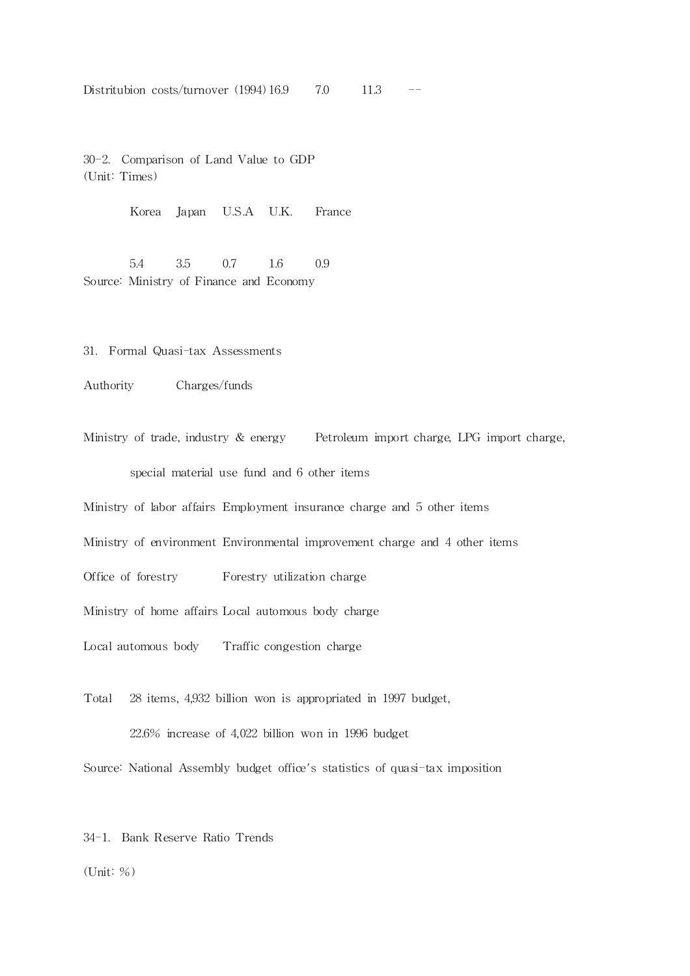Distritubion costs/turnover (1994) 16.9 7.0 11.3

30-2. Comparison of Land Value to GDP (Unit: Times)

Korea Japan U.S.A U.K. France

5.4 3.5 0.7 1.6 0.9 Source: Ministry of Finance and Economy

31. Formal Quasi-tax Assessments

Authority Charges/funds

Ministry of trade, industry & energy Petroleum import charge, LPG import charge, special material use fund and 6 other items

Ministry of labor affairs Employment insurance charge and 5 other items

Ministry of environment Environmental improvement charge and 4 other items

Office of forestry Forestry utilization charge

Ministry of home affairs Local automous body charge

Local automous body Traffic congestion charge

Total 28 items, 4,932 billion won is appropriated in 1997 budget, 22.6% increase of 4,022 billion won in 1996 budget

Source: National Assembly budget office's statistics of quasi-tax imposition

34-1. Bank Reserve Ratio Trends

(Unit: %)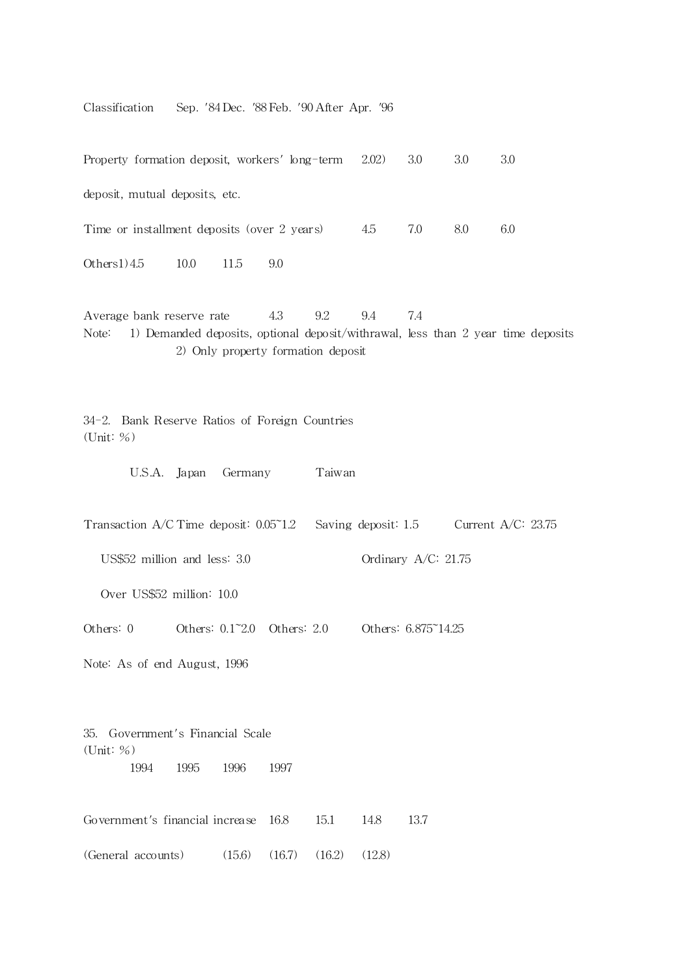Classification Sep. '84 Dec. '88 Feb. '90 After Apr. '96

Property formation deposit, workers' long-term 2.02) 3.0 3.0 3.0 deposit, mutual deposits, etc. Time or installment deposits (over 2 years)  $4.5$  7.0 8.0 6.0 Others1) 4.5 10.0 11.5 9.0

Average bank reserve rate  $4.3$   $9.2$   $9.4$   $7.4$ Note: 1) Demanded deposits, optional deposit/withrawal, less than 2 year time deposits 2) Only property formation deposit

34-2. Bank Reserve Ratios of Foreign Countries (Unit: %)

U.S.A. Japan Germany Taiwan

Transaction A/C Time deposit:  $0.05$  1.2 Saving deposit: 1.5 Current A/C: 23.75

US\$52 million and less: 3.0 Ordinary A/C: 21.75

Over US\$52 million: 10.0

Others: 0 0thers: 0.1~2.0 Others: 2.0 Others: 6.875~14.25

Note: As of end August, 1996

35. Government's Financial Scale (Unit: %) 1994 1995 1996 1997

Government's financial increase 16.8 15.1 14.8 13.7 (General accounts) (15.6) (16.7) (16.2) (12.8)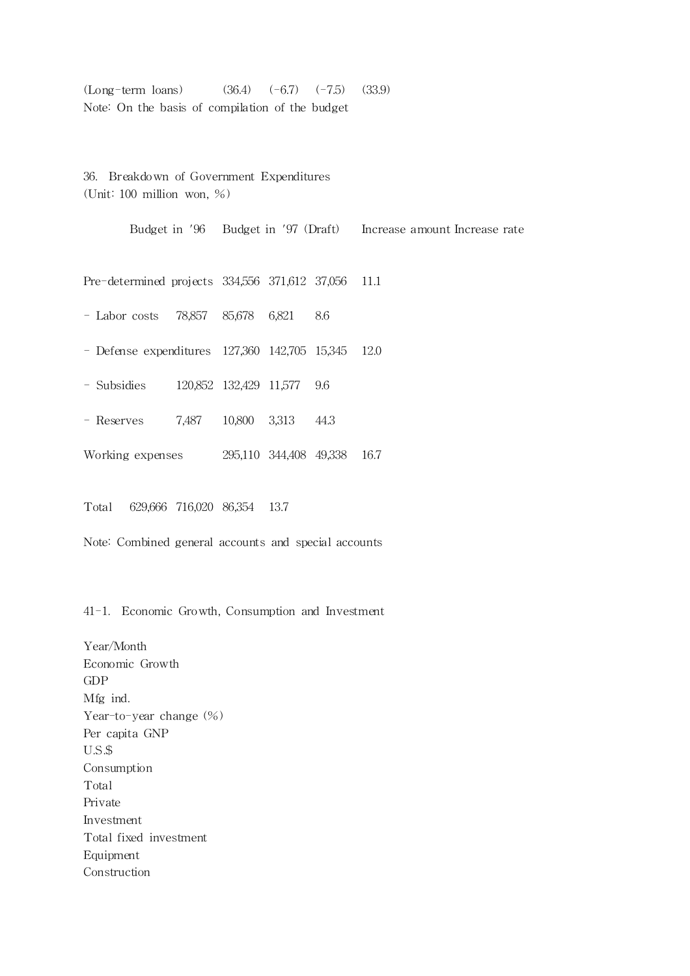$(Long-term loans)$   $(36.4)$   $(-6.7)$   $(-7.5)$   $(33.9)$ Note: On the basis of compilation of the budget

36. Breakdown of Government Expenditures (Unit: 100 million won, %)

Budget in '96 Budget in '97 (Draft) Increase amount Increase rate Pre-determined projects 334,556 371,612 37,056 11.1 - Labor costs 78,857 85,678 6,821 8.6 - Defense expenditures 127,360 142,705 15,345 12.0 - Subsidies 120,852 132,429 11,577 9.6 - Reserves 7,487 10,800 3,313 44.3 Working expenses 295,110 344,408 49,338 16.7 Total 629,666 716,020 86,354 13.7

Note: Combined general accounts and special accounts

41-1. Economic Growth, Consumption and Investment

Year/Month Economic Growth GDP Mfg ind. Year-to-year change  $(\%)$ Per capita GNP U.S.\$ Consumption Total Private Investment Total fixed investment Equipment Construction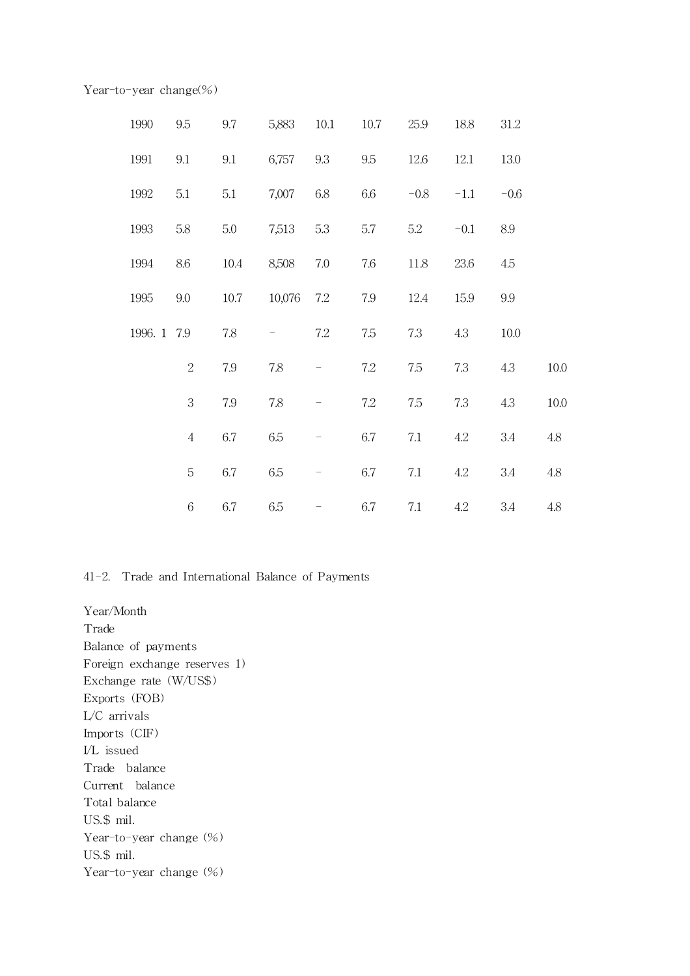Year-to-year change(%)

| 1990        | 9.5        | 9.7     | 5,883      | 10.1                     | 10.7 | 25.9   | 18.8   | 31.2    |          |
|-------------|------------|---------|------------|--------------------------|------|--------|--------|---------|----------|
| 1991        | 9.1        | $9.1\,$ | 6,757 9.3  |                          | 9.5  | 12.6   | 12.1   | 13.0    |          |
| 1992        | 5.1        | 5.1     | 7,007      | 6.8                      | 6.6  | $-0.8$ | $-1.1$ | $-0.6$  |          |
| 1993        | $5.8\,$    | 5.0     | 7,513 5.3  |                          | 5.7  | 5.2    | $-0.1$ | $8.9\,$ |          |
| 1994        | $8.6\,$    | 10.4    | 8,508      | 7.0                      | 7.6  | 11.8   | 23.6   | 4.5     |          |
| 1995        | 9.0        | 10.7    | 10,076 7.2 |                          | 7.9  | 12.4   | 15.9   | $9.9\,$ |          |
| 1996. 1 7.9 |            | 7.8     | -          | 7.2                      | 7.5  | 7.3    | 4.3    | 10.0    |          |
|             | $\sqrt{2}$ | 7.9     | 7.8        |                          | 7.2  | 7.5    | 7.3    | 4.3     | 10.0     |
|             | 3          | 7.9     | 7.8        |                          | 7.2  | 7.5    | 7.3    | 4.3     | $10.0\,$ |
|             | $\sqrt{4}$ | 6.7     | 6.5        | $\overline{\phantom{0}}$ | 6.7  | 7.1    | 4.2    | 3.4     | $4.8\,$  |
|             | 5          | 6.7     | 6.5        | $\overline{\phantom{a}}$ | 6.7  | 7.1    | 4.2    | 3.4     | $4.8\,$  |
|             | $\sqrt{6}$ | 6.7     | 6.5        |                          | 6.7  | 7.1    | 4.2    | 3.4     | 4.8      |

# 41-2. Trade and International Balance of Payments

Year/Month Trade Balance of payments Foreign exchange reserves 1) Exchange rate (W/US\$ ) Exports (FOB) L/C arrivals Imports (CIF) I/L issued Trade balance Current balance Total balance US.\$ mil. Year-to-year change  $(\%)$ US.\$ mil. Year-to-year change  $(\%)$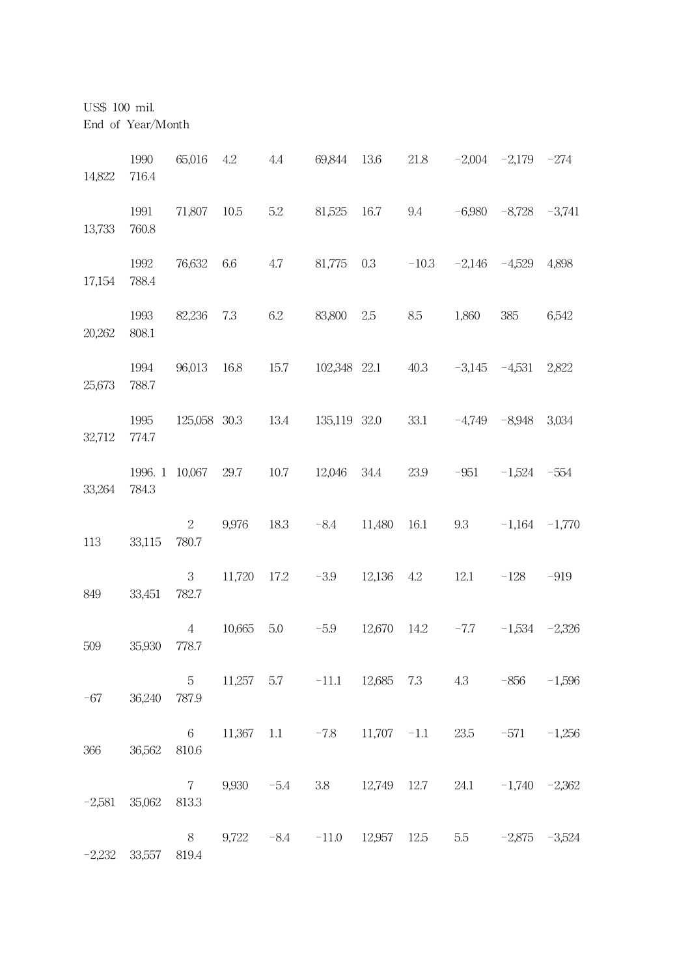US\$ 100 mil.

End of Year/Month

| 14,822   | 1990<br>716.4 | 65,016                   | 4.2          | 4.4     | 69,844 13.6                                                    |              | 21.8        |                   | $-2,004$ $-2,179$ $-274$   |        |
|----------|---------------|--------------------------|--------------|---------|----------------------------------------------------------------|--------------|-------------|-------------------|----------------------------|--------|
| 13,733   | 1991<br>760.8 | 71,807 10.5              |              | 5.2     | 81,525                                                         | 16.7         | 9.4         |                   | $-6,980$ $-8,728$ $-3,741$ |        |
| 17,154   | 1992<br>788.4 | 76,632                   | 6.6          | 4.7     | 81,775                                                         | 0.3          | $-10.3$     |                   | $-2,146$ $-4,529$          | 4,898  |
| 20,262   | 1993<br>808.1 | 82,236                   | 7.3          | $6.2\,$ | 83,800                                                         | $2.5\,$      | 8.5         | 1,860             | 385                        | 6,542  |
| 25,673   | 1994<br>788.7 | 96,013 16.8              |              | 15.7    |                                                                | 102,348 22.1 | 40.3        | $-3,145 -4,531$   |                            | 2,822  |
| 32,712   | 1995<br>774.7 |                          | 125,058 30.3 | 13.4    |                                                                | 135,119 32.0 | 33.1        | $-4,749$ $-8,948$ |                            | 3,034  |
| 33,264   | 784.3         | 1996. 1 10,067 29.7      |              |         | 10.7 12,046                                                    | 34.4         | 23.9        |                   | $-951 -1,524 -554$         |        |
| 113      | 33,115        | $\overline{2}$<br>780.7  | 9,976        | 18.3    | $-8.4$                                                         | 11,480       | 16.1        | 9.3               | $-1,164$ $-1,770$          |        |
| 849      | 33,451        | 3<br>782.7               | 11,720       | 17.2    | $-3.9$                                                         | 12,136       | 4.2         | 12.1              | $-128$                     | $-919$ |
| 509      | 35,930        | $\overline{4}$<br>778.7  | 10,665       | 5.0     | $-5.9$                                                         |              | 12,670 14.2 |                   | $-7.7$ $-1,534$ $-2,326$   |        |
| -67      | 36,240        | 787.9                    |              |         | 5 11,257 5.7 -11.1 12,685 7.3 4.3 -856 -1,596                  |              |             |                   |                            |        |
| 366      | 36,562        | $6\overline{6}$<br>810.6 |              |         | $11,367$ $1.1$ $-7.8$ $11,707$ $-1.1$                          |              |             |                   | $23.5 -571 -1,256$         |        |
| $-2,581$ | 35,062        | $7\degree$<br>813.3      |              |         | 9,930 -5.4 3.8 12,749 12.7                                     |              |             |                   | $24.1 -1,740 -2,362$       |        |
| $-2,232$ | 33,557        | 8<br>819.4               |              |         | $9,722$ $-8.4$ $-11.0$ $12,957$ $12.5$ $5.5$ $-2,875$ $-3,524$ |              |             |                   |                            |        |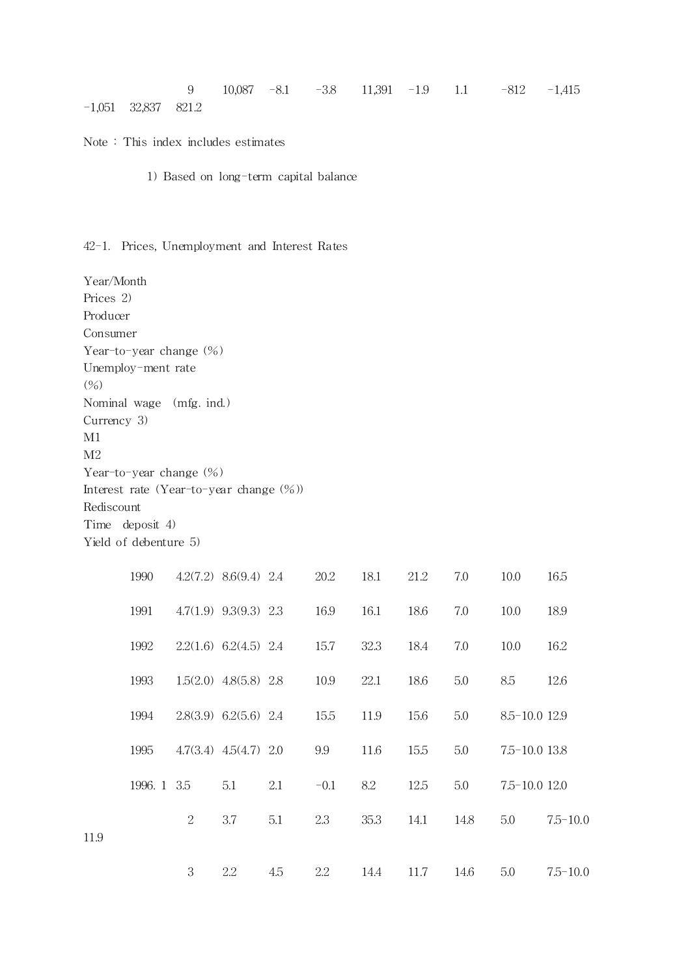|                       |  |  |  | 9 10,087 -8.1 -3.8 11,391 -1.9 1.1 -812 -1,415 |  |
|-----------------------|--|--|--|------------------------------------------------|--|
| $-1,051$ 32,837 821.2 |  |  |  |                                                |  |

Note : This index includes estimates

1) Based on long-term capital balance

## 42-1. Prices, Unemployment and Interest Rates

Year/Month Prices 2) Producer Consumer Year-to-year change  $(\%)$ Unemploy-ment rate (%) Nominal wage (mfg. ind.) Currency 3) M1 M2 Year-to-year change (%) Interest rate (Year-to-year change (%)) Rediscount Time deposit 4) Yield of debenture 5)

|      | 1990        |   | $4.2(7.2)$ $8.6(9.4)$ 2.4   |     | 20.2   | 18.1 | 21.2 | 7.0  | 10.0              | 16.5         |
|------|-------------|---|-----------------------------|-----|--------|------|------|------|-------------------|--------------|
|      | 1991        |   | $4.7(1.9)$ $9.3(9.3)$ $2.3$ |     | 16.9   | 16.1 | 18.6 | 7.0  | 10.0              | 18.9         |
|      | 1992        |   | $2.2(1.6)$ 6.2(4.5) 2.4     |     | 15.7   | 32.3 | 18.4 | 7.0  | 10.0              | 16.2         |
|      | 1993        |   | $1.5(2.0)$ $4.8(5.8)$ 2.8   |     | 10.9   | 22.1 | 18.6 | 5.0  | 8.5               | 12.6         |
|      | 1994        |   | $2.8(3.9)$ 6.2(5.6) 2.4     |     | 15.5   | 11.9 | 15.6 | 5.0  | 8.5-10.0 12.9     |              |
|      | 1995        |   | $4.7(3.4)$ $4.5(4.7)$ 2.0   |     | 9.9    | 11.6 | 15.5 | 5.0  | $7.5 - 10.0$ 13.8 |              |
|      | 1996. 1 3.5 |   | 5.1                         | 2.1 | $-0.1$ | 8.2  | 12.5 | 5.0  | $7.5 - 10.0$ 12.0 |              |
| 11.9 |             | 2 | 3.7                         | 5.1 | 2.3    | 35.3 | 14.1 | 14.8 | 5.0               | $7.5 - 10.0$ |
|      |             | 3 | 2.2                         | 4.5 | 2.2    | 14.4 | 11.7 | 14.6 | 5.0               | $7.5 - 10.0$ |
|      |             |   |                             |     |        |      |      |      |                   |              |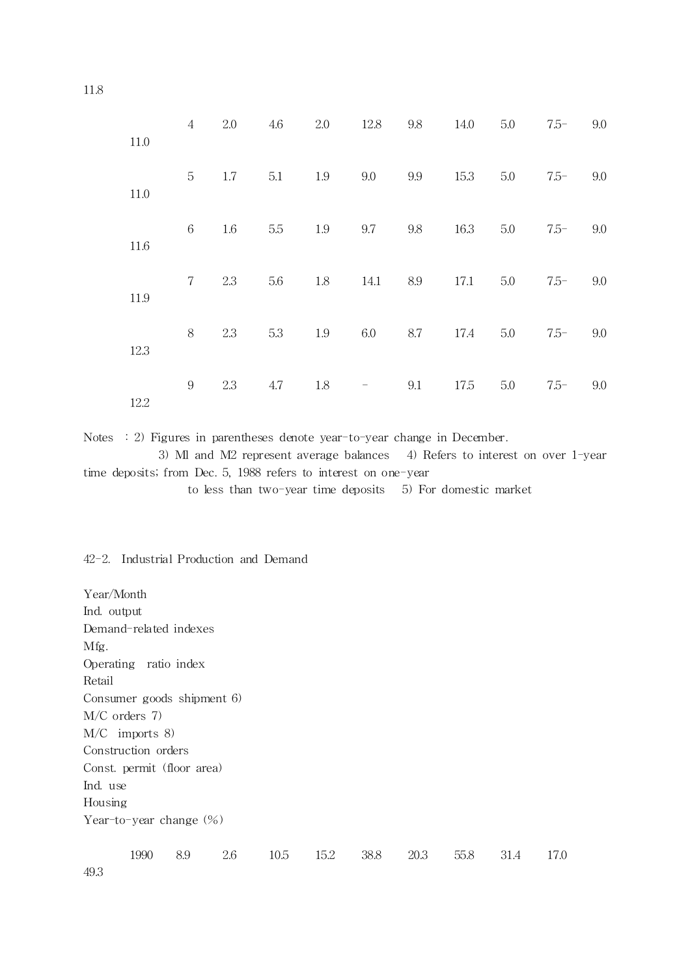| 11.0 | $\overline{4}$ | 2.0 | 4.6 | 2.0 | 12.8                              | 9.8 | 14.0 | 5.0 | $7.5-$  | 9.0 |
|------|----------------|-----|-----|-----|-----------------------------------|-----|------|-----|---------|-----|
| 11.0 | 5              | 1.7 | 5.1 | 1.9 | 9.0                               | 9.9 | 15.3 | 5.0 | $7.5 -$ | 9.0 |
| 11.6 | 6              | 1.6 | 5.5 | 1.9 | 9.7                               | 9.8 | 16.3 | 5.0 | $7.5-$  | 9.0 |
| 11.9 | $7\phantom{.}$ | 2.3 | 5.6 | 1.8 | 14.1                              | 8.9 | 17.1 | 5.0 | $7.5-$  | 9.0 |
| 12.3 | 8              | 2.3 | 5.3 | 1.9 | 6.0                               | 8.7 | 17.4 | 5.0 | $7.5 -$ | 9.0 |
| 12.2 | 9              | 2.3 | 4.7 | 1.8 | $\hspace{1.0cm} - \hspace{1.0cm}$ | 9.1 | 17.5 | 5.0 | $7.5 -$ | 9.0 |

Notes : 2) Figures in parentheses denote year-to-year change in December.

3) Ml and M2 represent average balances 4) Refers to interest on over 1-year time deposits; from Dec. 5, 1988 refers to interest on one-year

to less than two-year time deposits 5) For domestic market

#### 42-2. Industrial Production and Demand

Year/Month Ind. output Demand-rela ted indexes Mfg. Operating ratio index Retail Consumer goods shipment 6) M/C orders 7) M/C imports 8) Construction orders Const. permit (floor area) Ind. use Housing Year-to-year change (%)

1990 8.9 2.6 10.5 15.2 38.8 20.3 55.8 31.4 17.0

11.8

49.3